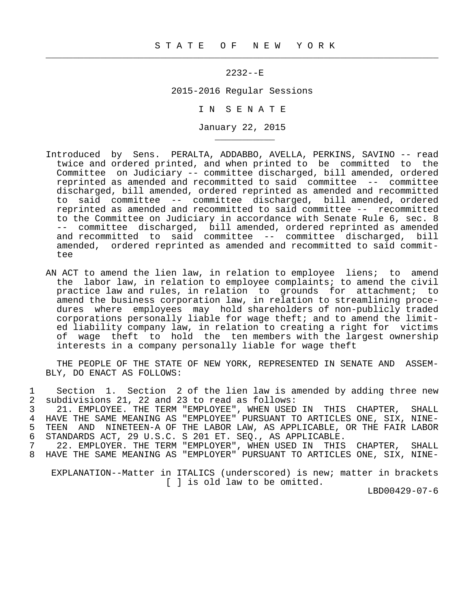$\frac{1}{2}$  , and the contribution of the contribution of the contribution of the contribution of the contribution of the contribution of the contribution of the contribution of the contribution of the contribution of the c

\_\_\_\_\_\_\_\_\_\_\_

## 2232--E

## 2015-2016 Regular Sessions

I N S E N A T E

January 22, 2015

- Introduced by Sens. PERALTA, ADDABBO, AVELLA, PERKINS, SAVINO -- read twice and ordered printed, and when printed to be committed to the Committee on Judiciary -- committee discharged, bill amended, ordered reprinted as amended and recommitted to said committee -- committee discharged, bill amended, ordered reprinted as amended and recommitted to said committee -- committee discharged, bill amended, ordered reprinted as amended and recommitted to said committee -- recommitted to the Committee on Judiciary in accordance with Senate Rule 6, sec. 8 -- committee discharged, bill amended, ordered reprinted as amended<br>and recommitted to said committee -- committee discharged, bill and recommitted to said committee  $--$  committee discharged, amended, ordered reprinted as amended and recommitted to said committee
- AN ACT to amend the lien law, in relation to employee liens; to amend the labor law, in relation to employee complaints; to amend the civil practice law and rules, in relation to grounds for attachment; to amend the business corporation law, in relation to streamlining proce dures where employees may hold shareholders of non-publicly traded corporations personally liable for wage theft; and to amend the limit ed liability company law, in relation to creating a right for victims of wage theft to hold the ten members with the largest ownership interests in a company personally liable for wage theft

 THE PEOPLE OF THE STATE OF NEW YORK, REPRESENTED IN SENATE AND ASSEM- BLY, DO ENACT AS FOLLOWS:

1 Section 1. Section 2 of the lien law is amended by adding three new<br>2 subdivisions 21, 22 and 23 to read as follows: 2 subdivisions 21, 22 and 23 to read as follows:<br>3 21. EMPLOYEE. THE TERM "EMPLOYEE", WHEN USED

3 21. EMPLOYEE. THE TERM "EMPLOYEE", WHEN USED IN THIS CHAPTER, SHALL<br>4 HAVE THE SAME MEANING AS "EMPLOYEE" PURSUANT TO ARTICLES ONE. SIX NINE- 4 HAVE THE SAME MEANING AS "EMPLOYEE" PURSUANT TO ARTICLES ONE, SIX, NINE- 5 TEEN AND NINETEEN-A OF THE LABOR LAW, AS APPLICABLE, OR THE FAIR LABOR<br>6 STANDARDS ACT, 29 U.S.C. S 201 ET. SEO., AS APPLICABLE. e contract the contract of the missive many incorporated,<br>6 STANDARDS ACT, 29 U.S.C. S 201 ET. SEQ., AS APPLICABLE.<br>7 22. EMPLOYER. THE TERM "EMPLOYER", WHEN USED IN THIS

7 22. EMPLOYER. THE TERM "EMPLOYER", WHEN USED IN THIS CHAPTER, SHALL<br>8 HAVE THE SAME MEANING AS "EMPLOYER" PURSUANT TO ARTICLES ONE. SIX. NINE-HAVE THE SAME MEANING AS "EMPLOYER" PURSUANT TO ARTICLES ONE, SIX, NINE-

 EXPLANATION--Matter in ITALICS (underscored) is new; matter in brackets [ ] is old law to be omitted.

LBD00429-07-6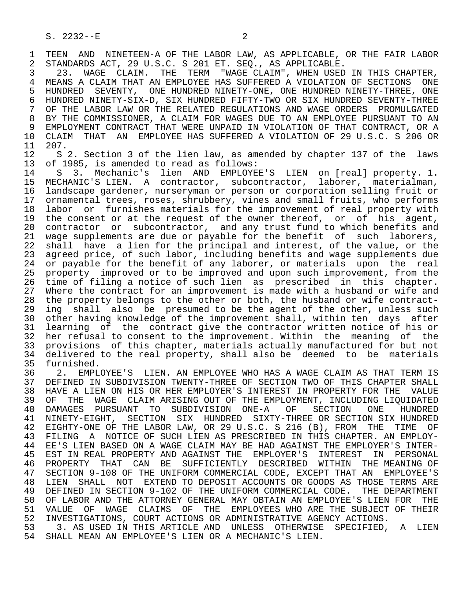1 TEEN AND NINETEEN-A OF THE LABOR LAW, AS APPLICABLE, OR THE FAIR LABOR<br>2 STANDARDS ACT, 29 U.S.C. S 201 ET. SEO., AS APPLICABLE. 2 STANDARDS ACT, 29 U.S.C. S 201 ET. SEQ., AS APPLICABLE.<br>3 323. WAGE CLAIM. THE TERM "WAGE CLAIM", WHEN USED

 3 23. WAGE CLAIM. THE TERM "WAGE CLAIM", WHEN USED IN THIS CHAPTER, 4 MEANS A CLAIM THAT AN EMPLOYEE HAS SUFFERED A VIOLATION OF SECTIONS ONE<br>5 HUNDRED SEVENTY, ONE HUNDRED NINETY-ONE, ONE HUNDRED NINETY-THREE, ONE 5 HUNDRED SEVENTY, ONE HUNDRED NINETY-ONE, ONE HUNDRED NINETY-THREE, ONE 6 HUNDRED NINETY-SIX-D, SIX HUNDRED FIFTY-TWO OR SIX HUNDRED SEVENTY-THREE OF THE LABOR LAW OR THE RELATED REGULATIONS AND WAGE ORDERS PROMULGATED 8 BY THE COMMISSIONER, A CLAIM FOR WAGES DUE TO AN EMPLOYEE PURSUANT TO AN<br>9 EMPLOYMENT CONTRACT THAT WERE UNPAID IN VIOLATION OF THAT CONTRACT, OR A 9 EMPLOYMENT CONTRACT THAT WERE UNPAID IN VIOLATION OF THAT CONTRACT, OR A<br>10 CLAIM THAT AN EMPLOYEE HAS SUFFERED A VIOLATION OF 29 U.S.C. S 206 OR 10 CLAIM THAT AN EMPLOYEE HAS SUFFERED A VIOLATION OF 29 U.S.C. S 206 OR<br>11 207. 11 207.<br>12 S

12 S 2. Section 3 of the lien law, as amended by chapter 137 of the laws<br>13 of 1985, is amended to read as follows: 13 of 1985, is amended to read as follows:<br>14 S. 3. Mechanic's lien AND EMPLOYE

 14 S 3. Mechanic's lien AND EMPLOYEE'S LIEN on [real] property. 1. 15 MECHANIC'S LIEN. A contractor, subcontractor, laborer, materialman, 16 landscape gardener, nurseryman or person or corporation selling fruit or 17 ornamental trees, roses, shrubbery, vines and small fruits, who performs<br>18 labor or furnishes materials for the improvement of real property with 18 labor or furnishes materials for the improvement of real property with<br>19 the consent or at the request of the owner thereof, or of his agent, 19 the consent or at the request of the owner thereof, or of his agent,<br>20 contractor or subcontractor, and any trust fund to which benefits and 20 contractor or subcontractor, and any trust fund to which benefits and<br>21 wage supplements are due or payable for the benefit of such laborers, 21 wage supplements are due or payable for the benefit of such laborers,<br>22 shall have a lien for the principal and interest, of the value, or the 22 shall have a lien for the principal and interest, of the value, or the<br>23 agreed price, of such labor, including benefits and wage supplements due agreed price, of such labor, including benefits and wage supplements due 24 or payable for the benefit of any laborer, or materials upon the real<br>25 property improved or to be improved and upon such improvement, from the property improved or to be improved and upon such improvement, from the 26 time of filing a notice of such lien as prescribed in this chapter. 27 Where the contract for an improvement is made with a husband or wife and<br>28 the property belongs to the other or both, the husband or wife contract-28 the property belongs to the other or both, the husband or wife contract-<br>29 ing shall also be presumed to be the agent of the other, unless such ing shall also be presumed to be the agent of the other, unless such 30 other having knowledge of the improvement shall, within ten days after<br>31 learning of the contract give the contractor written notice of his or 31 learning of the contract give the contractor written notice of his or<br>32 her refusal to consent to the improvement. Within the meaning of the 32 her refusal to consent to the improvement. Within the meaning of the<br>33 provisions of this chapter, materials actually manufactured for but not 33 provisions of this chapter, materials actually manufactured for but not 34 delivered to the real property, shall also be deemed to be materials<br>35 furnished.

35 furnished.<br>36 2. EMPL 36 2. EMPLOYEE'S LIEN. AN EMPLOYEE WHO HAS A WAGE CLAIM AS THAT TERM IS 37 DEFINED IN SUBDIVISION TWENTY-THREE OF SECTION TWO OF THIS CHAPTER SHALL<br>38 HAVE A LIEN ON HIS OR HER EMPLOYER'S INTEREST IN PROPERTY FOR THE VALUE 38 HAVE A LIEN ON HIS OR HER EMPLOYER'S INTEREST IN PROPERTY FOR THE VALUE<br>39 OF THE WAGE CLAIM ARISING OUT OF THE EMPLOYMENT, INCLUDING LIOUIDATED 39 OF THE WAGE CLAIM ARISING OUT OF THE EMPLOYMENT, INCLUDING LIQUIDATED<br>40 DAMAGES PURSUANT TO SUBDIVISION ONE-A OF SECTION ONE HUNDRED 40 DAMAGES PURSUANT TO SUBDIVISION ONE-A OF SECTION ONE HUNDRED 41 NINETY-EIGHT, SECTION SIX HUNDRED SIXTY-THREE OR SECTION SIX HUNDRED<br>42 EIGHTY-ONE OF THE LABOR LAW, OR 29 U.S.C. S 216 (B), FROM THE TIME OF 42 EIGHTY-ONE OF THE LABOR LAW, OR 29 U.S.C. S 216 (B), FROM THE TIME OF<br>43 FILING A NOTICE OF SUCH LIEN AS PRESCRIBED IN THIS CHAPTER. AN EMPLOY-43 FILING A NOTICE OF SUCH LIEN AS PRESCRIBED IN THIS CHAPTER. AN EMPLOY-<br>44 EE'S LIEN BASED ON A WAGE CLAIM MAY BE HAD AGAINST THE EMPLOYER'S INTER-44 EE'S LIEN BASED ON A WAGE CLAIM MAY BE HAD AGAINST THE EMPLOYER'S INTER-<br>45 EST IN REAL PROPERTY AND AGAINST THE EMPLOYER'S INTEREST IN PERSONAL EST IN REAL PROPERTY AND AGAINST THE EMPLOYER'S INTEREST IN PERSONAL 46 PROPERTY THAT CAN BE SUFFICIENTLY DESCRIBED WITHIN THE MEANING OF<br>47 SECTION 9-108 OF THE UNIFORM COMMERCIAL CODE, EXCEPT THAT AN EMPLOYEE'S SECTION 9-108 OF THE UNIFORM COMMERCIAL CODE, EXCEPT THAT AN EMPLOYEE'S 48 LIEN SHALL NOT EXTEND TO DEPOSIT ACCOUNTS OR GOODS AS THOSE TERMS ARE 49 DEFINED IN SECTION 9-102 OF THE UNIFORM COMMERCIAL CODE. THE DEPARTMENT<br>50 OF LABOR AND THE ATTORNEY GENERAL MAY OBTAIN AN EMPLOYEE'S LIEN FOR THE 50 OF LABOR AND THE ATTORNEY GENERAL MAY OBTAIN AN EMPLOYEE'S LIEN FOR THE 50 STAEL CLAIMS OF THE EMPLOYEES WHO ARE THE SUBJECT OF THEIR 51 VALUE OF WAGE CLAIMS OF THE EMPLOYEES WHO ARE THE SUBJECT OF THEIR<br>52 INVESTIGATIONS, COURT ACTIONS OR ADMINISTRATIVE AGENCY ACTIONS. 52 INVESTIGATIONS, COURT ACTIONS OR ADMINISTRATIVE AGENCY ACTIONS.<br>53 3. AS USED IN THIS ARTICLE AND UNLESS OTHERWISE SPECIFIED.

53 3. AS USED IN THIS ARTICLE AND UNLESS OTHERWISE SPECIFIED, A LIEN<br>54 SHALL MEAN AN EMPLOYEE'S LIEN OR A MECHANIC'S LIEN. 54 SHALL MEAN AN EMPLOYEE'S LIEN OR A MECHANIC'S LIEN.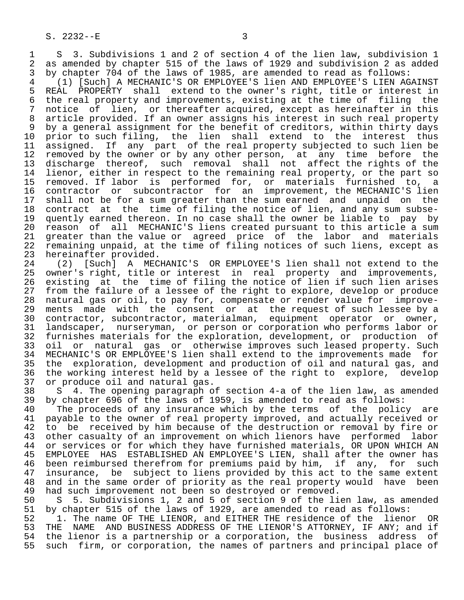1 S 3. Subdivisions 1 and 2 of section 4 of the lien law, subdivision 1<br>2 as amended by chapter 515 of the laws of 1929 and subdivision 2 as added 2 as amended by chapter 515 of the laws of 1929 and subdivision 2 as added<br>3 by chapter 704 of the laws of 1985, are amended to read as follows:

3 by chapter 704 of the laws of 1985, are amended to read as follows:<br>4 (1) [Such] A MECHANIC'S OR EMPLOYEE'S lien AND EMPLOYEE'S LIEN AG 4 (1) [Such] A MECHANIC'S OR EMPLOYEE'S lien AND EMPLOYEE'S LIEN AGAINST 5 REAL PROPERTY shall extend to the owner's right, title or interest in<br>6 the real property and improvements, existing at the time of filing the 6 the real property and improvements, existing at the time of filing the<br>7 notice of lien, or thereafter acquired, except as hereinafter in this 7 notice of lien, or thereafter acquired, except as hereinafter in this<br>8 article provided. If an owner assigns his interest in such real property 8 article provided. If an owner assigns his interest in such real property<br>8 by a general assignment for the benefit of creditors, within thirty days 9 by a general assignment for the benefit of creditors, within thirty days<br>10 prior to such filing, the lien shall extend to the interest thus 10 prior to such filing, the lien shall extend to the interest thus<br>11 assigned. If any part of the real property subjected to such lien be 11 assigned. If any part of the real property subjected to such lien be<br>12 removed by the owner or by any other person, at any time before the 12 removed by the owner or by any other person, at any time before the 13 discharge thereof, such removal shall not affect the rights of the 14 lienor, either in respect to the remaining real property, or the part so 15 removed. If labor is performed for, or materials furnished to, a<br>16 contractor or subcontractor for an improvement, the MECHANIC'S lien 16 contractor or subcontractor for an improvement, the MECHANIC'S lien<br>17 shall not be for a sum greater than the sum earned and unpaid on the 17 shall not be for a sum greater than the sum earned and unpaid on the<br>18 contract at the time of filing the notice of lien, and any sum subse-18 contract at the time of filing the notice of lien, and any sum subse-<br>19 quently earned thereon. In no case shall the owner be liable to pay by 19 quently earned thereon. In no case shall the owner be liable to pay by<br>20 reason of all MECHANIC'S liens created pursuant to this article a sum 20 reason of all MECHANIC'S liens created pursuant to this article a sum<br>21 greater than the value or agreed price of the labor and materials 21 greater than the value or agreed price of the labor and materials<br>22 remaining unpaid, at the time of filing notices of such liens, except as 22 remaining unpaid, at the time of filing notices of such liens, except as

23 hereinafter provided.<br>24 (2) [Such] A MEC 24 (2) [Such] A MECHANIC'S OR EMPLOYEE'S lien shall not extend to the<br>25 owner's right, title or interest in real property and improvements, owner's right, title or interest in real property and improvements, 26 existing at the time of filing the notice of lien if such lien arises<br>27 from the failure of a lessee of the right to explore, develop or produce 27 from the failure of a lessee of the right to explore, develop or produce<br>28 natural gas or oil, to pay for, compensate or render value for improve-28 natural gas or oil, to pay for, compensate or render value for improve-<br>29 ments made with the consent or at the request of such lessee by a 29 ments made with the consent or at the request of such lessee by a<br>30 contractor, subcontractor, materialman, equipment operator or owner, 30 contractor, subcontractor, materialman, equipment operator or owner,<br>31 landscaper, nurseryman, or person or corporation who performs labor or 31 landscaper, nurseryman, or person or corporation who performs labor or<br>32 furnishes materials for the exploration, development, or production of 32 furnishes materials for the exploration, development, or production of<br>33 oil or natural gas or otherwise improves such leased property. Such 33 oil or natural gas or otherwise improves such leased property. Such<br>34 MECHANIC'S OR EMPLOYEE'S lien shall extend to the improvements made for 34 MECHANIC'S OR EMPLOYEE'S lien shall extend to the improvements made for<br>35 the exploration, development and production of oil and natural gas, and 35 the exploration, development and production of oil and natural gas, and<br>36 the working interest held by a lessee of the right to explore, develop the working interest held by a lessee of the right to explore, develop 37 or produce oil and natural gas.<br>38 S 4. The opening paragraph o:

38 S 4. The opening paragraph of section 4-a of the lien law, as amended<br>39 by chapter 696 of the laws of 1959, is amended to read as follows: 39 by chapter 696 of the laws of 1959, is amended to read as follows:<br>40 The proceeds of any insurance which by the terms of the polic

40 The proceeds of any insurance which by the terms of the policy are<br>41 payable to the owner of real property improved, and actually received or 41 payable to the owner of real property improved, and actually received or<br>42 to be received by him because of the destruction or removal by fire or 42 to be received by him because of the destruction or removal by fire or<br>43 other casualty of an improvement on which lienors have performed labor 43 other casualty of an improvement on which lienors have performed labor<br>44 or services or for which they have furnished materials. OR UPON WHICH AN 44 or services or for which they have furnished materials, OR UPON WHICH AN 45 EMPLOYEE HAS ESTABLISHED AN EMPLOYEE'S LIEN, shall after the owner has 45 EMPLOYEE HAS ESTABLISHED AN EMPLOYEE'S LIEN, shall after the owner has 46 been reimbursed therefrom for premiums paid by him, if any, for such<br>47 insurance, be subject to liens provided by this act to the same extent insurance, be subject to liens provided by this act to the same extent 48 and in the same order of priority as the real property would have been<br>49 had such improvement not been so destroyed or removed. 49 had such improvement not been so destroyed or removed.<br>50 S 5. Subdivisions 1, 2 and 5 of section 9 of the li

50 S 5. Subdivisions 1, 2 and 5 of section 9 of the lien law, as amended<br>51 by chapter 515 of the laws of 1929, are amended to read as follows: 51 by chapter 515 of the laws of 1929, are amended to read as follows:<br>52 1. The name OF THE LIENOR, and EITHER THE residence of the lieno

52 1. The name OF THE LIENOR, and EITHER THE residence of the lienor OR<br>53 THE NAME AND BUSINESS ADDRESS OF THE LIENOR'S ATTORNEY, IF ANY; and if 53 THE NAME AND BUSINESS ADDRESS OF THE LIENOR'S ATTORNEY, IF ANY; and if<br>54 the lienor is a partnership or a corporation, the business address of 54 the lienor is a partnership or a corporation, the business address of<br>55 such firm, or corporation, the names of partners and principal place of such firm, or corporation, the names of partners and principal place of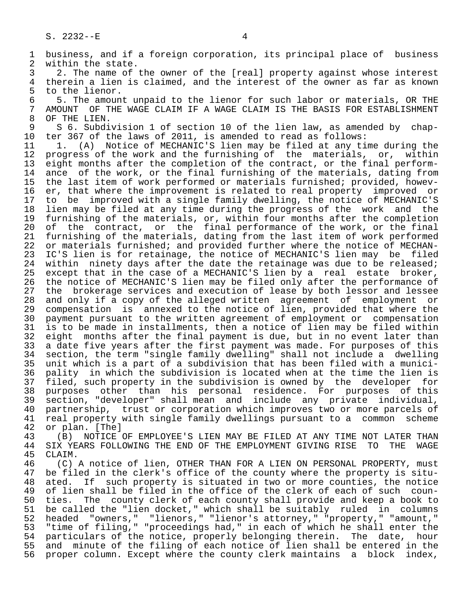1 business, and if a foreign corporation, its principal place of business<br>2 within the state. 2 within the state.<br>3 2. The name of 3 2. The name of the owner of the [real] property against whose interest<br>4 therein a lien is claimed, and the interest of the owner as far as known 4 therein a lien is claimed, and the interest of the owner as far as known<br>5 to the lienor. 5 to the lienor.<br>6 5. The amoun 6 5. The amount unpaid to the lienor for such labor or materials, OR THE<br>7 AMOUNT OF THE WAGE CLAIM IF A WAGE CLAIM IS THE BASIS FOR ESTABLISHMENT 7 AMOUNT OF THE WAGE CLAIM IF A WAGE CLAIM IS THE BASIS FOR ESTABLISHMENT 8 OF THE LIEN. 8 OF THE LIEN.<br>9 S 6. Subdi 9 S 6. Subdivision 1 of section 10 of the lien law, as amended by chap-<br>10 ter 367 of the laws of 2011, is amended to read as follows: 10 ter 367 of the laws of 2011, is amended to read as follows: 11 1. (A) Notice of MECHANIC'S lien may be filed at any time during the<br>12 progress of the work and the furnishing of the materials, or, within progress of the work and the furnishing of the materials, or, within 13 eight months after the completion of the contract, or the final perform-<br>14 ance of the work, or the final furnishing of the materials, dating from ance of the work, or the final furnishing of the materials, dating from 15 the last item of work performed or materials furnished; provided, howev-<br>16 er, that where the improvement is related to real property improved or 16 er, that where the improvement is related to real property improved or<br>17 to be improved with a single family dwelling, the notice of MECHANIC'S 17 to be improved with a single family dwelling, the notice of MECHANIC'S<br>18 lien may be filed at any time during the progress of the work and the 18 lien may be filed at any time during the progress of the work and the<br>19 furnishing of the materials, or, within four months after the completion 19 furnishing of the materials, or, within four months after the completion<br>20 of the contract, or the final performance of the work, or the final 20 of the contract, or the final performance of the work, or the final 21 furnishing of the materials, dating from the last item of work performed 22 or materials furnished; and provided further where the notice of MECHAN-<br>23 IC'S lien is for retainage, the notice of MECHANIC'S lien may be filed 23 IC'S lien is for retainage, the notice of MECHANIC'S lien may be filed 24 within ninety days after the date the retainage was due to be released;<br>25 except that in the case of a MECHANIC'S lien by a real estate broker, except that in the case of a MECHANIC'S lien by a real estate broker, 26 the notice of MECHANIC'S lien may be filed only after the performance of 27 the brokerage services and execution of lease by both lessor and lessee<br>28 and only if a copy of the alleged written agreement of employment or 28 and only if a copy of the alleged written agreement of employment or<br>29 compensation is annexed to the notice of lien, provided that where the 29 compensation is annexed to the notice of lien, provided that where the<br>20 payment pursuant to the written agreement of employment or compensation 30 payment pursuant to the written agreement of employment or compensation<br>31 is to be made in installments, then a notice of lien may be filed within 31 is to be made in installments, then a notice of lien may be filed within<br>32 eight months after the final payment is due, but in no event later than 32 eight months after the final payment is due, but in no event later than<br>33 a date five years after the first payment was made. For purposes of this 33 a date five years after the first payment was made. For purposes of this<br>34 section, the term "single family dwelling" shall not include a dwelling 34 section, the term "single family dwelling" shall not include a dwelling<br>35 unit which is a part of a subdivision that has been filed with a munici-35 unit which is a part of a subdivision that has been filed with a munici-<br>36 pality in which the subdivision is located when at the time the lien is pality in which the subdivision is located when at the time the lien is 37 filed, such property in the subdivision is owned by the developer for 38 purposes other than his personal residence. For purposes of this 39 section, "developer" shall mean and include any private individual, 40 partnership, trust or corporation which improves two or more parcels of<br>41 real property with single family dwellings pursuant to a common scheme 41 real property with single family dwellings pursuant to a common scheme<br>42 or plan. [The] 42 or plan. [The]<br>43 (B) NOTICE 43 (B) NOTICE OF EMPLOYEE'S LIEN MAY BE FILED AT ANY TIME NOT LATER THAN<br>44 SIX YEARS FOLLOWING THE END OF THE EMPLOYMENT GIVING RISE TO THE WAGE 44 SIX YEARS FOLLOWING THE END OF THE EMPLOYMENT GIVING RISE TO THE WAGE 45 CLAIM. CLAIM. 46 (C) A notice of lien, OTHER THAN FOR A LIEN ON PERSONAL PROPERTY, must<br>47 be filed in the clerk's office of the county where the property is sitube filed in the clerk's office of the county where the property is situ-48 ated. If such property is situated in two or more counties, the notice<br>49 of lien shall be filed in the office of the clerk of each of such coun-49 of lien shall be filed in the office of the clerk of each of such coun-<br>50 ties. The county clerk of each county shall provide and keep a book to 50 ties. The county clerk of each county shall provide and keep a book to<br>51 be called the "lien docket," which shall be suitably ruled in columns be called the "lien docket," which shall be suitably ruled in columns<br>headed "owners," "lienors," "lienor's attorney," "property," "amount," 52 headed "owners," "lienors," "lienor's attorney," "property," "amount,"<br>53 "time of filing," "proceedings had," in each of which he shall enter the 53 "time of filing," "proceedings had," in each of which he shall enter the<br>54 particulars of the notice, properly belonging therein. The date, hour 54 particulars of the notice, properly belonging therein. The date, hour<br>55 and minute of the filing of each notice of lien shall be entered in the 55 and minute of the filing of each notice of lien shall be entered in the<br>56 proper column. Except where the county clerk maintains a block index, proper column. Except where the county clerk maintains a block index,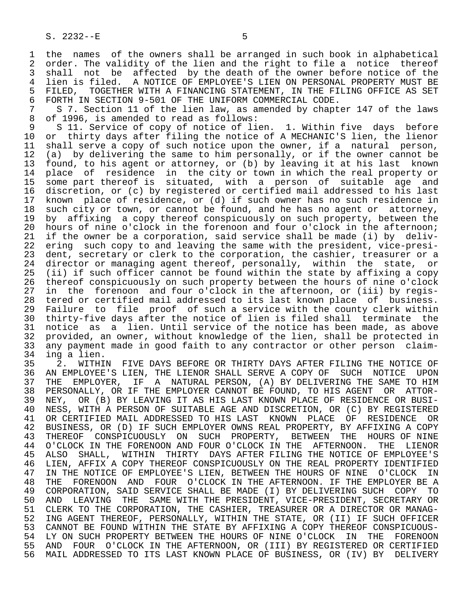1 the names of the owners shall be arranged in such book in alphabetical<br>2 order. The validity of the lien and the right to file a notice thereof 2 order. The validity of the lien and the right to file a notice thereof<br>3 shall not be affected by the death of the owner before notice of the shall not be affected by the death of the owner before notice of the 4 lien is filed. A NOTICE OF EMPLOYEE'S LIEN ON PERSONAL PROPERTY MUST BE<br>5 FILED, TOGETHER WITH A FINANCING STATEMENT, IN THE FILING OFFICE AS SET 5 FILED, TOGETHER WITH A FINANCING STATEMENT, IN THE FILING OFFICE AS SET<br>6 FORTH IN SECTION 9-501 OF THE UNIFORM COMMERCIAL CODE.

 6 FORTH IN SECTION 9-501 OF THE UNIFORM COMMERCIAL CODE. 7 S 7. Section 11 of the lien law, as amended by chapter 147 of the laws<br>8 of 1996, is amended to read as follows: 8 of 1996, is amended to read as follows:<br>9 S 11. Service of copy of notice of li

9 S 11. Service of copy of notice of lien. 1. Within five days before<br>10 or thirty days after filing the notice of A MECHANIC'S lien, the lienor 10 or thirty days after filing the notice of A MECHANIC'S lien, the lienor<br>11 shall serve a copy of such notice upon the owner, if a natural person, 11 shall serve a copy of such notice upon the owner, if a natural person,<br>12 (a) by delivering the same to him personally, or if the owner cannot be 12 (a) by delivering the same to him personally, or if the owner cannot be 13 found, to his agent or attorney, or (b) by leaving it at his last known 13 found, to his agent or attorney, or (b) by leaving it at his last known<br>14 place of residence in the city or town in which the real property or place of residence in the city or town in which the real property or 15 some part thereof is situated, with a person of suitable age and<br>16 discretion, or (c) by registered or certified mail addressed to his last 16 discretion, or (c) by registered or certified mail addressed to his last<br>17 known place of residence, or (d) if such owner has no such residence in 17 known place of residence, or (d) if such owner has no such residence in<br>18 such city or town, or cannot be found, and he has no agent or attorney, 18 such city or town, or cannot be found, and he has no agent or attorney,<br>19 by affixing a copy thereof conspicuously on such property, between the 19 by affixing a copy thereof conspicuously on such property, between the<br>20 hours of nine o'clock in the forenoon and four o'clock in the afternoon; 20 hours of nine o'clock in the forenoon and four o'clock in the afternoon;<br>21 if the owner be a corporation, said service shall be made (i) by deliv-21 if the owner be a corporation, said service shall be made (i) by deliv-<br>22 ering such copy to and leaving the same with the president, vice-presi-22 ering such copy to and leaving the same with the president, vice-presi-<br>23 dent, secretary or clerk to the corporation, the cashier, treasurer or a dent, secretary or clerk to the corporation, the cashier, treasurer or a 24 director or managing agent thereof, personally, within the state, or<br>25 (ii) if such officer cannot be found within the state by affixing a copy (ii) if such officer cannot be found within the state by affixing a copy 26 thereof conspicuously on such property between the hours of nine o'clock<br>27 in the forenoon and four o'clock in the afternoon, or (iii) by regis-27 in the forenoon and four o'clock in the afternoon, or (iii) by regis-<br>28 tered or certified mail addressed to its last known place of business. 28 tered or certified mail addressed to its last known place of business.<br>29 Failure to file proof of such a service with the county clerk within 29 Failure to file proof of such a service with the county clerk within<br>20 thirty-five days after the notice of lien is filed shall terminate the 30 thirty-five days after the notice of lien is filed shall terminate the<br>31 notice as a lien. Until service of the notice has been made, as above 31 notice as a lien. Until service of the notice has been made, as above<br>32 provided, an owner, without knowledge of the lien, shall be protected in 32 provided, an owner, without knowledge of the lien, shall be protected in<br>33 any payment made in good faith to any contractor or other person claim-33 any payment made in good faith to any contractor or other person claim-

34 ing a lien.<br>35 2. WITHI 35 2. WITHIN FIVE DAYS BEFORE OR THIRTY DAYS AFTER FILING THE NOTICE OF<br>36 AN EMPLOYEE'S LIEN, THE LIENOR SHALL SERVE A COPY OF SUCH NOTICE UPON 36 AN EMPLOYEE'S LIEN, THE LIENOR SHALL SERVE A COPY OF SUCH NOTICE UPON 37 THE EMPLOYER, IF A NATURAL PERSON, (A) BY DELIVERING THE SAME TO HIM<br>38 PERSONALLY, OR IF THE EMPLOYER CANNOT BE FOUND, TO HIS AGENT OR ATTOR-38 PERSONALLY, OR IF THE EMPLOYER CANNOT BE FOUND, TO HIS AGENT OR ATTOR-<br>39 NEY, OR (B) BY LEAVING IT AS HIS LAST KNOWN PLACE OF RESIDENCE OR BUSI-39 NEY, OR (B) BY LEAVING IT AS HIS LAST KNOWN PLACE OF RESIDENCE OR BUSI-<br>40 NESS, WITH A PERSON OF SUITABLE AGE AND DISCRETION, OR (C) BY REGISTERED 40 NESS, WITH A PERSON OF SUITABLE AGE AND DISCRETION, OR (C) BY REGISTERED<br>41 OR CERTIFIED MAIL ADDRESSED TO HIS LAST KNOWN PLACE OF RESIDENCE OR 41 OR CERTIFIED MAIL ADDRESSED TO HIS LAST KNOWN PLACE OF RESIDENCE OR<br>42 BUSINESS, OR (D) IF SUCH EMPLOYER OWNS REAL PROPERTY, BY AFFIXING A COPY 42 BUSINESS, OR (D) IF SUCH EMPLOYER OWNS REAL PROPERTY, BY AFFIXING A COPY<br>43 THEREOF CONSPICUOUSLY ON SUCH PROPERTY, BETWEEN THE HOURS OF NINE 43 THEREOF CONSPICUOUSLY ON SUCH PROPERTY, BETWEEN THE HOURS OF NINE<br>44 O'CLOCK IN THE FORENOON AND FOUR O'CLOCK IN THE AFTERNOON. THE LIENOR 44 O'CLOCK IN THE FORENOON AND FOUR O'CLOCK IN THE AFTERNOON. THE LIENOR<br>45 ALSO SHALL, WITHIN THIRTY DAYS AFTER FILING THE NOTICE OF EMPLOYEE'S THIRTY DAYS AFTER FILING THE NOTICE OF EMPLOYEE'S 46 LIEN, AFFIX A COPY THEREOF CONSPICUOUSLY ON THE REAL PROPERTY IDENTIFIED<br>47 IN THE NOTICE OF EMPLOYEE'S LIEN, BETWEEN THE HOURS OF NINE O'CLOCK IN IN THE NOTICE OF EMPLOYEE'S LIEN, BETWEEN THE HOURS OF NINE O'CLOCK IN 48 THE FORENOON AND FOUR O'CLOCK IN THE AFTERNOON. IF THE EMPLOYER BE A<br>49 CORPORATION, SAID SERVICE SHALL BE MADE (I) BY DELIVERING SUCH COPY TO 49 CORPORATION, SAID SERVICE SHALL BE MADE (I) BY DELIVERING SUCH COPY TO<br>50 AND LEAVING THE SAME WITH THE PRESIDENT, VICE-PRESIDENT, SECRETARY OR 50 AND LEAVING THE SAME WITH THE PRESIDENT, VICE-PRESIDENT, SECRETARY OR<br>51 CLERK TO THE CORPORATION, THE CASHIER, TREASURER OR A DIRECTOR OR MANAG-51 CLERK TO THE CORPORATION, THE CASHIER, TREASURER OR A DIRECTOR OR MANAG-<br>52 ING AGENT THEREOF, PERSONALLY, WITHIN THE STATE, OR (II) IF SUCH OFFICER 52 ING AGENT THEREOF, PERSONALLY, WITHIN THE STATE, OR (II) IF SUCH OFFICER<br>53 CANNOT BE FOUND WITHIN THE STATE BY AFFIXING A COPY THEREOF CONSPICUOUS-53 CANNOT BE FOUND WITHIN THE STATE BY AFFIXING A COPY THEREOF CONSPICUOUS-<br>54 LY ON SUCH PROPERTY BETWEEN THE HOURS OF NINE O'CLOCK IN THE FORENOON 54 LY ON SUCH PROPERTY BETWEEN THE HOURS OF NINE O'CLOCK IN THE FORENOON<br>55 AND FOUR O'CLOCK IN THE AFTERNOON, OR (III) BY REGISTERED OR CERTIFIED 55 AND FOUR O'CLOCK IN THE AFTERNOON, OR (III) BY REGISTERED OR CERTIFIED<br>56 MAIL ADDRESSED TO ITS LAST KNOWN PLACE OF BUSINESS, OR (IV) BY DELIVERY MAIL ADDRESSED TO ITS LAST KNOWN PLACE OF BUSINESS, OR (IV) BY DELIVERY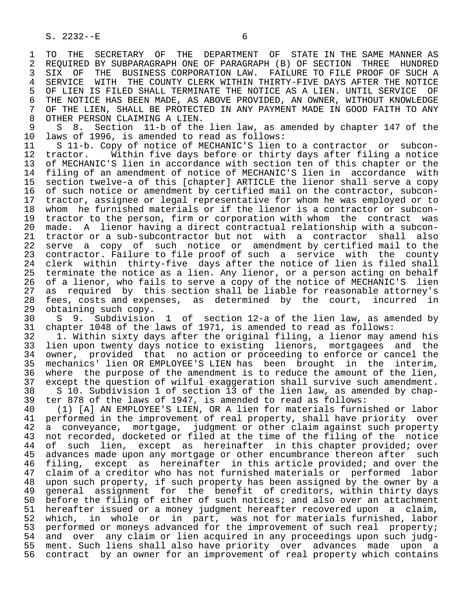1 TO THE SECRETARY OF THE DEPARTMENT OF STATE IN THE SAME MANNER AS<br>2 REOUIRED BY SUBPARAGRAPH ONE OF PARAGRAPH (B) OF SECTION THREE HUNDRED 2 REQUIRED BY SUBPARAGRAPH ONE OF PARAGRAPH (B) OF SECTION THREE HUNDRED<br>3 SIX OF THE BUSINESS CORPORATION LAW. FAILURE TO FILE PROOF OF SUCH A 3 SIX OF THE BUSINESS CORPORATION LAW. FAILURE TO FILE PROOF OF SUCH A<br>4 SERVICE WITH THE COUNTY CLERK WITHIN THIRTY-FIVE DAYS AFTER THE NOTICE 4 SERVICE WITH THE COUNTY CLERK WITHIN THIRTY-FIVE DAYS AFTER THE NOTICE<br>5 OF LIEN IS FILED SHALL TERMINATE THE NOTICE AS A LIEN. UNTIL SERVICE OF 5 OF LIEN IS FILED SHALL TERMINATE THE NOTICE AS A LIEN. UNTIL SERVICE<br>6 THE NOTICE HAS BEEN MADE, AS ABOVE PROVIDED, AN OWNER, WITHOUT KNOWL 6 THE NOTICE HAS BEEN MADE, AS ABOVE PROVIDED, AN OWNER, WITHOUT KNOWLEDGE<br>7 OF THE LIEN, SHALL BE PROTECTED IN ANY PAYMENT MADE IN GOOD FAITH TO ANY 7 OF THE LIEN, SHALL BE PROTECTED IN ANY PAYMENT MADE IN GOOD FAITH TO ANY SANTER PERSON CLAIMING A LIEN. 8 OTHER PERSON CLAIMING A LIEN.<br>9 S 8. Section 11-b of the

9 S 8. Section 11-b of the lien law, as amended by chapter 147 of the<br>10 laws of 1996, is amended to read as follows: 10 laws of 1996, is amended to read as follows:<br>11 S 11-b. Copy of notice of MECHANIC'S lien

11 S 11-b. Copy of notice of MECHANIC'S lien to a contractor or subcon-<br>12 tractor. Within five days before or thirty days after filing a notice 12 tractor. Within five days before or thirty days after filing a notice<br>13 of MECHANIC'S lien in accordance with section ten of this chapter or the 13 of MECHANIC'S lien in accordance with section ten of this chapter or the<br>14 filing of an amendment of notice of MECHANIC'S lien in accordance with filing of an amendment of notice of MECHANIC'S lien in accordance with 15 section twelve-a of this [chapter] ARTICLE the lienor shall serve a copy<br>16 of such notice or amendment by certified mail on the contractor, subcon-16 of such notice or amendment by certified mail on the contractor, subcon-<br>17 tractor, assignee or legal representative for whom he was emploved or to 17 tractor, assignee or legal representative for whom he was employed or to<br>18 whom he furnished materials or if the lienor is a contractor or subcon-18 whom he furnished materials or if the lienor is a contractor or subcon-<br>19 tractor to the person, firm or corporation with whom the contract was 19 tractor to the person, firm or corporation with whom the contract was<br>20 made. A lienor having a direct contractual relationship with a subcon-20 made. A lienor having a direct contractual relationship with a subcon-<br>21 tractor or a sub-subcontractor but not with a contractor shall also 21 tractor or a sub-subcontractor but not with a contractor shall also<br>22 serve a copy of such notice or amendment by certified mail to the serve a copy of such notice or amendment by certified mail to the 23 contractor. Failure to file proof of such a service with the county 24 clerk within thirty-five days after the notice of lien is filed shall<br>25 terminate the notice as a lien. Any lienor, or a person acting on behalf terminate the notice as a lien. Any lienor, or a person acting on behalf 26 of a lienor, who fails to serve a copy of the notice of MECHANIC'S lien<br>27 as required by this section shall be liable for reasonable attorney's 27 as required by this section shall be liable for reasonable attorney's<br>28 fees, costs and expenses, as determined by the court, incurred in 28 fees, costs and expenses, as determined by the court, incurred in<br>29 obtaining such copy. 29 obtaining such copy.<br>30 S 9. Subdivision

30 S 9. Subdivision 1 of section 12-a of the lien law, as amended by<br>31 chapter 1048 of the laws of 1971, is amended to read as follows: 31 chapter 1048 of the laws of 1971, is amended to read as follows:<br>32 1. Within sixty days after the original filing, a lienor may a

32 1. Within sixty days after the original filing, a lienor may amend his<br>33 lien upon twenty days notice to existing lienors, mortgagees and the 33 lien upon twenty days notice to existing lienors, mortgagees and the<br>34 owner, provided that no action or proceeding to enforce or cancel the 34 owner, provided that no action or proceeding to enforce or cancel the<br>35 mechanics' lien OR EMPLOYEE'S LIEN has been brought in the interim. 35 mechanics' lien OR EMPLOYEE'S LIEN has been brought in the interim,<br>36 where the purpose of the amendment is to reduce the amount of the lien, where the purpose of the amendment is to reduce the amount of the lien, 37 except the question of wilful exaggeration shall survive such amendment.<br>38 S 10. Subdivision 1 of section 13 of the lien law, as amended by chap-38 S 10. Subdivision 1 of section 13 of the lien law, as amended by chap-<br>39 ter 878 of the laws of 1947, is amended to read as follows: 39 ter 878 of the laws of 1947, is amended to read as follows:<br>40 (1) [A] AN EMPLOYEE'S LIEN, OR A lien for materials furni

40 (1) [A] AN EMPLOYEE'S LIEN, OR A lien for materials furnished or labor<br>41 performed in the improvement of real property, shall have priority over 41 performed in the improvement of real property, shall have priority over<br>42 a convevance, mortgage, judgment or other claim against such property 42 a conveyance, mortgage, judgment or other claim against such property<br>43 not recorded, docketed or filed at the time of the filing of the notice 43 not recorded, docketed or filed at the time of the filing of the notice<br>44 of such lien, except as hereinafter in this chapter provided; over 44 of such lien, except as hereinafter in this chapter provided; over<br>45 advances made upon any mortgage or other encumbrance thereon after such advances made upon any mortgage or other encumbrance thereon after such 46 filing, except as hereinafter in this article provided; and over the<br>47 claim of a creditor who has not furnished materials or performed labor 47 claim of a creditor who has not furnished materials or performed labor<br>48 upon such property, if such property has been assigned by the owner by a 48 upon such property, if such property has been assigned by the owner by a<br>49 general assignment for the benefit of creditors, within thirty days 49 general assignment for the benefit of creditors, within thirty days 50 before the filing of either of such notices; and also over an attachment 51 hereafter issued or a money judgment hereafter recovered upon a claim,<br>52 which, in whole or in part, was not for materials furnished, labor which, in whole or in part, was not for materials furnished, labor 53 performed or moneys advanced for the improvement of such real property;<br>54 and over any claim or lien acquired in any proceedings upon such judgand over any claim or lien acquired in any proceedings upon such judg- 55 ment. Such liens shall also have priority over advances made upon a 56 contract by an owner for an improvement of real property which contains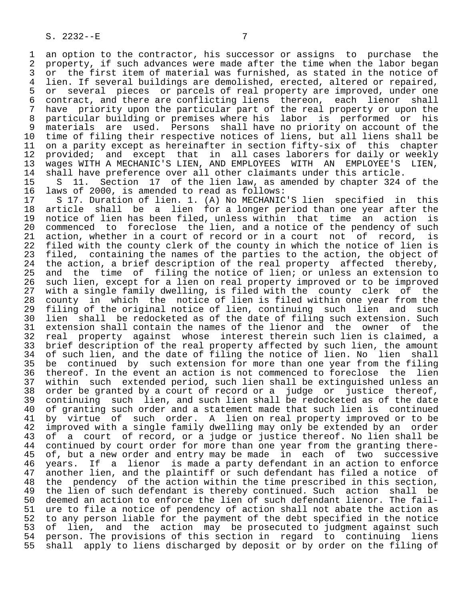1 an option to the contractor, his successor or assigns to purchase the<br>2 property, if such advances were made after the time when the labor began 2 property, if such advances were made after the time when the labor began<br>3 or the first item of material was furnished, as stated in the notice of 3 or the first item of material was furnished, as stated in the notice of 3 ich is the notice of 4 ich is the notice of 4 ich is the notice of 4 ich is the notice of  $\mu$ 4 lien. If several buildings are demolished, erected, altered or repaired,<br>5 or several pieces or parcels of real property are improved, under one 5 or several pieces or parcels of real property are improved, under one<br>6 contract, and there are conflicting liens thereon, each lienor shall 6 contract, and there are conflicting liens thereon, each lienor shall<br>7 have priority upon the particular part of the real property or upon the 7 have priority upon the particular part of the real property or upon the<br>8 particular building or premises where his labor is performed or his 8 particular building or premises where his labor is performed or his<br>9 materials are used. Persons shall have no priority on account of the 9 materials are used. Persons shall have no priority on account of the<br>10 time of filing their respective notices of liens, but all liens shall be 10 time of filing their respective notices of liens, but all liens shall be<br>11 on a parity except as hereinafter in section fifty-six of this chapter 11 on a parity except as hereinafter in section fifty-six of this chapter<br>12 provided; and except that in all cases laborers for daily or weekly 12 provided; and except that in all cases laborers for daily or weekly 13 wages WITH A MECHANIC'S LIEN, AND EMPLOYEES WITH AN EMPLOYEE'S LIEN, 14 shall have preference over all other claimants under this article.<br>15 S 11. Section 17 of the lien law, as amended by chapter 324

15 S 11. Section 17 of the lien law, as amended by chapter 324 of the 16 loss of the 16 loss to low is amended to read as follows: 16 laws of 2000, is amended to read as follows:<br>17 S 17, Duration of lien, 1, (A) No MECHANIC

17 S 17. Duration of lien. 1. (A) No MECHANIC'S lien specified in this<br>18 article shall be a lien for a longer period than one year after the 18 article shall be a lien for a longer period than one year after the<br>19 notice of lien has been filed, unless within that time an action is 19 notice of lien has been filed, unless within that time an action is<br>20 commenced to foreclose the lien, and a notice of the pendency of such 20 commenced to foreclose the lien, and a notice of the pendency of such<br>21 action, whether in a court of record or in a court not of record, is 21 action, whether in a court of record or in a court not of record, is<br>22 filed with the county clerk of the county in which the notice of lien is 22 filed with the county clerk of the county in which the notice of lien is<br>23 filed, containing the names of the parties to the action, the object of 23 filed, containing the names of the parties to the action, the object of 24 the action, a brief description of the real property affected thereby. 24 the action, a brief description of the real property affected thereby,<br>25 and the time of filing the notice of lien; or unless an extension to and the time of filing the notice of lien; or unless an extension to 26 such lien, except for a lien on real property improved or to be improved 27 with a single family dwelling, is filed with the county clerk of the<br>28 county in which the notice of lien is filed within one year from the 28 county in which the notice of lien is filed within one year from the<br>29 filing of the original notice of lien, continuing such lien and such 29 filing of the original notice of lien, continuing such lien and such<br>20 lien shall be redocketed as of the date of filing such extension. Such 30 lien shall be redocketed as of the date of filing such extension. Such<br>31 extension shall contain the names of the lienor and the owner of the 31 extension shall contain the names of the lienor and the owner of the<br>32 real property against whose interest therein such lien is claimed, a 32 real property against whose interest therein such lien is claimed, a<br>33 brief description of the real property affected by such lien, the amount 33 brief description of the real property affected by such lien, the amount<br>34 of such lien, and the date of filing the notice of lien. No lien shall 34 of such lien, and the date of filing the notice of lien. No lien shall<br>35 be continued by such extension for more than one year from the filing 35 be continued by such extension for more than one year from the filing<br>36 thereof. In the event an action is not commenced to foreclose the lien thereof. In the event an action is not commenced to foreclose the lien 37 within such extended period, such lien shall be extinguished unless an 38 order be granted by a court of record or a judge or justice<br>39 continuing such lien, and such lien shall be redocketed as of 39 continuing such lien, and such lien shall be redocketed as of the date<br>40 of granting such order and a statement made that such lien is continued 40 of granting such order and a statement made that such lien is continued<br>41 by virtue of such order. A lien on real property improved or to be 41 by virtue of such order. A lien on real property improved or to be<br>42 improved with a single family dwelling may only be extended by an order 42 improved with a single family dwelling may only be extended by an order<br>43 of a court of record, or a judge or justice thereof. No lien shall be 43 of a court of record, or a judge or justice thereof. No lien shall be<br>44 continued by court order for more than one year from the granting there-44 continued by court order for more than one year from the granting there-<br>45 of, but a new order and entry may be made in each of two successive of, but a new order and entry may be made in each of two successive 46 years. If a lienor is made a party defendant in an action to enforce<br>47 another lien, and the plaintiff or such defendant has filed a notice of another lien, and the plaintiff or such defendant has filed a notice of 48 the pendency of the action within the time prescribed in this section,<br>49 the lien of such defendant is thereby continued. Such action shall be 49 the lien of such defendant is thereby continued. Such action shall be<br>50 deemed an action to enforce the lien of such defendant lienor. The fail- 50 deemed an action to enforce the lien of such defendant lienor. The fail- 51 ure to file a notice of pendency of action shall not abate the action as<br>52 to any person liable for the payment of the debt specified in the notice 52 to any person liable for the payment of the debt specified in the notice<br>53 of lien, and the action may be prosecuted to judgment against such 53 of lien, and the action may be prosecuted to judgment against such<br>54 person. The provisions of this section in regard to continuing liens 54 person. The provisions of this section in regard to continuing liens<br>55 shall apply to liens discharged by deposit or by order on the filing of shall apply to liens discharged by deposit or by order on the filing of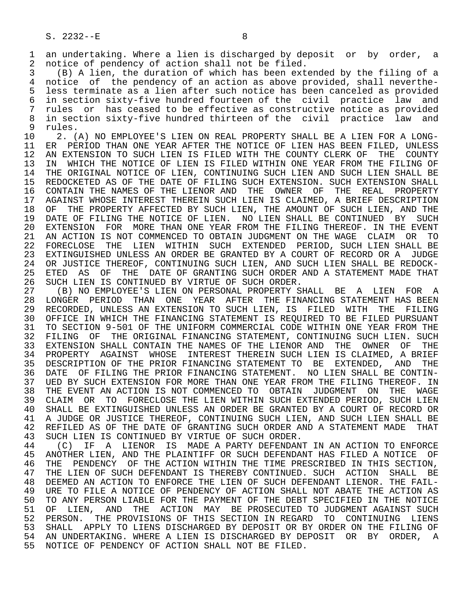1 an undertaking. Where a lien is discharged by deposit or by order, a<br>2 notice of pendency of action shall not be filed. 2 notice of pendency of action shall not be filed.<br>3 (B) A lien, the duration of which has been ext

(B) A lien, the duration of which has been extended by the filing of a 4 notice of the pendency of an action as above provided, shall neverthe-<br>5 less terminate as a lien after such notice has been canceled as provided 5 less terminate as a lien after such notice has been canceled as provided<br>6 in section sixty-five hundred fourteen of the civil practice law and 6 in section sixty-five hundred fourteen of the civil practice law and rules or has ceased to be effective as constructive notice as provided 8 in section sixty-five hundred thirteen of the civil practice law and<br>9 rules.

9 rules.<br>10 2. C 10 1. (A) NO EMPLOYEE'S LIEN ON REAL PROPERTY SHALL BE A LIEN FOR A LONG-<br>11 ER PERIOD THAN ONE YEAR AFTER THE NOTICE OF LIEN HAS BEEN FILED, UNLESS 11 ER PERIOD THAN ONE YEAR AFTER THE NOTICE OF LIEN HAS BEEN FILED, UNLESS<br>12 AN EXTENSION TO SUCH LIEN IS FILED WITH THE COUNTY CLERK OF THE COUNTY 12 AN EXTENSION TO SUCH LIEN IS FILED WITH THE COUNTY CLERK OF THE COUNTY<br>13 IN WHICH THE NOTICE OF LIEN IS FILED WITHIN ONE YEAR FROM THE FILING OF 13 IN WHICH THE NOTICE OF LIEN IS FILED WITHIN ONE YEAR FROM THE FILING OF<br>14 THE ORIGINAL NOTICE OF LIEN, CONTINUING SUCH LIEN AND SUCH LIEN SHALL BE THE ORIGINAL NOTICE OF LIEN, CONTINUING SUCH LIEN AND SUCH LIEN SHALL BE 15 REDOCKETED AS OF THE DATE OF FILING SUCH EXTENSION. SUCH EXTENSION SHALL 16 CONTAIN THE NAMES OF THE LIENOR AND THE OWNER OF THE REAL PROPERTY<br>17 AGAINST WHOSE INTEREST THEREIN SUCH LIEN IS CLAIMED. A BRIEF DESCRIPTION 17 AGAINST WHOSE INTEREST THEREIN SUCH LIEN IS CLAIMED, A BRIEF DESCRIPTION<br>18 OF THE PROPERTY AFFECTED BY SUCH LIEN, THE AMOUNT OF SUCH LIEN, AND THE 18 OF THE PROPERTY AFFECTED BY SUCH LIEN, THE AMOUNT OF SUCH LIEN, AND THE 19 DATE OF FILING THE NOTICE OF LIEN. NO LIEN SHALL BE CONTINUED BY SUCH 19 DATE OF FILING THE NOTICE OF LIEN. NO LIEN SHALL BE CONTINUED BY SUCH<br>20 EXTENSION FOR MORE THAN ONE YEAR FROM THE FILING THEREOF. IN THE EVENT 20 EXTENSION FOR MORE THAN ONE YEAR FROM THE FILING THEREOF. IN THE EVENT<br>21 AN ACTION IS NOT COMMENCED TO OBTAIN JUDGMENT ON THE WAGE CLAIM OR TO 21 AN ACTION IS NOT COMMENCED TO OBTAIN JUDGMENT ON THE WAGE CLAIM OR TO<br>22 FORECLOSE THE LIEN WITHIN SUCH EXTENDED PERIOD, SUCH LIEN SHALL BE 22 FORECLOSE THE LIEN WITHIN SUCH EXTENDED PERIOD, SUCH LIEN SHALL BE<br>23 EXTINGUISHED UNLESS AN ORDER BE GRANTED BY A COURT OF RECORD OR A JUDGE 23 EXTINGUISHED UNLESS AN ORDER BE GRANTED BY A COURT OF RECORD OR A JUDGE<br>24 OR JUSTICE THEREOF, CONTINUING SUCH LIEN, AND SUCH LIEN SHALL BE REDOCK-24 OR JUSTICE THEREOF, CONTINUING SUCH LIEN, AND SUCH LIEN SHALL BE REDOCK-<br>25 ETED AS OF THE DATE OF GRANTING SUCH ORDER AND A STATEMENT MADE THAT ETED AS OF THE DATE OF GRANTING SUCH ORDER AND A STATEMENT MADE THAT 26 SUCH LIEN IS CONTINUED BY VIRTUE OF SUCH ORDER.<br>27 (B) NO EMPLOYEE'S LIEN ON PERSONAL PROPERTY S

 27 (B) NO EMPLOYEE'S LIEN ON PERSONAL PROPERTY SHALL BE A LIEN FOR A 28 LONGER PERIOD THAN ONE YEAR AFTER THE FINANCING STATEMENT HAS BEEN<br>29 RECORDED, UNLESS AN EXTENSION TO SUCH LIEN, IS FILED WITH THE FILING 29 RECORDED, UNLESS AN EXTENSION TO SUCH LIEN, IS FILED WITH THE FILING<br>20 OFFICE IN WHICH THE FINANCING STATEMENT IS REOUIRED TO BE FILED PURSUANT 30 OFFICE IN WHICH THE FINANCING STATEMENT IS REQUIRED TO BE FILED PURSUANT<br>31 TO SECTION 9-501 OF THE UNIFORM COMMERCIAL CODE WITHIN ONE YEAR FROM THE 31 TO SECTION 9-501 OF THE UNIFORM COMMERCIAL CODE WITHIN ONE YEAR FROM THE 32 FILING OF THE ORIGINAL FINANCING STATEMENT. CONTINUING SUCH LIEN. SUCH 32 FILING OF THE ORIGINAL FINANCING STATEMENT, CONTINUING SUCH LIEN. SUCH<br>33 EXTENSION SHALL CONTAIN THE NAMES OF THE LIENOR AND THE OWNER OF THE 33 EXTENSION SHALL CONTAIN THE NAMES OF THE LIENOR AND THE OWNER OF THE 34 PROPERTY AGAINST WHOSE INTEREST THEREIN SUCH LIEN IS CLAIMED. A BRIEF 34 PROPERTY AGAINST WHOSE INTEREST THEREIN SUCH LIEN IS CLAIMED, A BRIEF<br>35 DESCRIPTION OF THE PRIOR FINANCING STATEMENT TO BE EXTENDED. AND THE 35 DESCRIPTION OF THE PRIOR FINANCING STATEMENT TO BE EXTENDED, AND THE 36 DATE OF FILING THE PRIOR FINANCING STATEMENT. NO LIEN SHALL BE CONTIN-DATE OF FILING THE PRIOR FINANCING STATEMENT. NO LIEN SHALL BE CONTIN-37 UED BY SUCH EXTENSION FOR MORE THAN ONE YEAR FROM THE FILING THEREOF. IN<br>38 THE EVENT AN ACTION IS NOT COMMENCED TO OBTAIN JUDGMENT ON THE WAGE 38 THE EVENT AN ACTION IS NOT COMMENCED TO OBTAIN JUDGMENT ON THE WAGE<br>39 CLAIM OR TO FORECLOSE THE LIEN WITHIN SUCH EXTENDED PERIOD, SUCH LIEN 39 CLAIM OR TO FORECLOSE THE LIEN WITHIN SUCH EXTENDED PERIOD, SUCH LIEN<br>40 SHALL BE EXTINGUISHED UNLESS AN ORDER BE GRANTED BY A COURT OF RECORD OR 40 SHALL BE EXTINGUISHED UNLESS AN ORDER BE GRANTED BY A COURT OF RECORD OR<br>41 A JUDGE OR JUSTICE THEREOF, CONTINUING SUCH LIEN, AND SUCH LIEN SHALL BE 41 A JUDGE OR JUSTICE THEREOF, CONTINUING SUCH LIEN, AND SUCH LIEN SHALL BE<br>42 REFILED AS OF THE DATE OF GRANTING SUCH ORDER AND A STATEMENT MADE THAT 42 REFILED AS OF THE DATE OF GRANTING SUCH ORDER AND A STATEMENT MADE THAT 43 SUCH LIEN IS CONTINUED BY VIRTUE OF SUCH ORDER. 43 SUCH LIEN IS CONTINUED BY VIRTUE OF SUCH ORDER.<br>44 (C) IF A LIENOR IS MADE A PARTY DEFENDAN

44 (C) IF A LIENOR IS MADE A PARTY DEFENDANT IN AN ACTION TO ENFORCE<br>45 ANOTHER LIEN, AND THE PLAINTIFF OR SUCH DEFENDANT HAS FILED A NOTICE OF 45 ANOTHER LIEN, AND THE PLAINTIFF OR SUCH DEFENDANT HAS FILED A NOTICE OF 46 THE PENDENCY OF THE ACTION WITHIN THE TIME PRESCRIBED IN THIS SECTION,<br>47 THE LIEN OF SUCH DEFENDANT IS THEREBY CONTINUED. SUCH ACTION SHALL BE 47 THE LIEN OF SUCH DEFENDANT IS THEREBY CONTINUED. SUCH ACTION SHALL BE 48 DEEMED AN ACTION TO ENFORCE THE LIEN OF SUCH DEFENDANT LIENOR. THE FAIL-48 DEEMED AN ACTION TO ENFORCE THE LIEN OF SUCH DEFENDANT LIENOR. THE FAIL-<br>49 URE TO FILE A NOTICE OF PENDENCY OF ACTION SHALL NOT ABATE THE ACTION AS 49 URE TO FILE A NOTICE OF PENDENCY OF ACTION SHALL NOT ABATE THE ACTION AS<br>50 TO ANY PERSON LIABLE FOR THE PAYMENT OF THE DEBT SPECIFIED IN THE NOTICE 50 TO ANY PERSON LIABLE FOR THE PAYMENT OF THE DEBT SPECIFIED IN THE NOTICE<br>51 OF LIEN, AND THE ACTION MAY BE PROSECUTED TO JUDGMENT AGAINST SUCH 51 OF LIEN, AND THE ACTION MAY BE PROSECUTED TO JUDGMENT AGAINST SUCH<br>52 PERSON. THE PROVISIONS OF THIS SECTION IN REGARD TO CONTINUING LIENS 52 PERSON. THE PROVISIONS OF THIS SECTION IN REGARD TO CONTINUING LIENS<br>53 SHALL APPLY TO LIENS DISCHARGED BY DEPOSIT OR BY ORDER ON THE FILING OF 53 SHALL APPLY TO LIENS DISCHARGED BY DEPOSIT OR BY ORDER ON THE FILING OF<br>54 AN UNDERTAKING. WHERE A LIEN IS DISCHARGED BY DEPOSIT OR BY ORDER, A 54 AN UNDERTAKING. WHERE A LIEN IS DISCHARGED BY DEPOSIT OR BY ORDER,<br>55 NOTICE OF PENDENCY OF ACTION SHALL NOT BE FILED. NOTICE OF PENDENCY OF ACTION SHALL NOT BE FILED.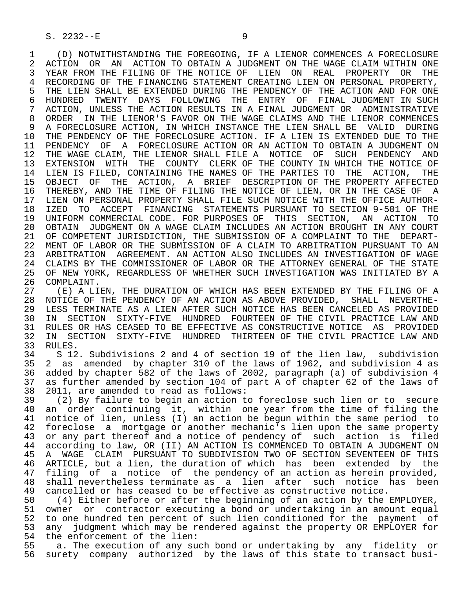1 (D) NOTWITHSTANDING THE FOREGOING, IF A LIENOR COMMENCES A FORECLOSURE<br>2 ACTION OR AN ACTION TO OBTAIN A JUDGMENT ON THE WAGE CLAIM WITHIN ONE 2 ACTION OR AN ACTION TO OBTAIN A JUDGMENT ON THE WAGE CLAIM WITHIN ONE<br>3 YEAR FROM THE FILING OF THE NOTICE OF LIEN ON REAL PROPERTY OR THE YEAR FROM THE FILING OF THE NOTICE OF LIEN ON REAL PROPERTY OR THE 4 RECORDING OF THE FINANCING STATEMENT CREATING LIEN ON PERSONAL PROPERTY,<br>5 THE LIEN SHALL BE EXTENDED DURING THE PENDENCY OF THE ACTION AND FOR ONE 5 THE LIEN SHALL BE EXTENDED DURING THE PENDENCY OF THE ACTION AND FOR ONE<br>6 HUNDRED TWENTY DAYS FOLLOWING THE ENTRY OF FINAL JUDGMENT IN SUCH 6 HUNDRED TWENTY DAYS FOLLOWING THE ENTRY OF FINAL JUDGMENT IN SUCH 7 ACTION, UNLESS THE ACTION RESULTS IN A FINAL JUDGMENT OR ADMINISTRATIVE 7 ACTION, UNLESS THE ACTION RESULTS IN A FINAL JUDGMENT OR ADMINISTRATIVE<br>8 ORDER IN THE LIENOR'S FAVOR ON THE WAGE CLAIMS AND THE LIENOR COMMENCES 8 ORDER IN THE LIENOR'S FAVOR ON THE WAGE CLAIMS AND THE LIENOR COMMENCES<br>9 A FORECLOSURE ACTION, IN WHICH INSTANCE THE LIEN SHALL BE VALID DURING 9 A FORECLOSURE ACTION, IN WHICH INSTANCE THE LIEN SHALL BE VALID DURING<br>10 THE PENDENCY OF THE FORECLOSURE ACTION. IF A LIEN IS EXTENDED DUE TO THE 10 THE PENDENCY OF THE FORECLOSURE ACTION. IF A LIEN IS EXTENDED DUE TO THE 11 PENDENCY OF A FORECLOSURE ACTION OR AN ACTION TO OBTAIN A JUDGMENT ON 11 PENDENCY OF A FORECLOSURE ACTION OR AN ACTION TO OBTAIN A JUDGMENT ON<br>12 THE WAGE CLAIM, THE LIENOR SHALL FILE A NOTICE OF SUCH PENDENCY AND 12 THE WAGE CLAIM, THE LIENOR SHALL FILE A NOTICE OF SUCH PENDENCY AND<br>13 EXTENSION WITH THE COUNTY CLERK OF THE COUNTY IN WHICH THE NOTICE OF 13 EXTENSION WITH THE COUNTY CLERK OF THE COUNTY IN WHICH THE NOTICE OF<br>14 LIEN IS FILED, CONTAINING THE NAMES OF THE PARTIES TO THE ACTION, THE LIEN IS FILED, CONTAINING THE NAMES OF THE PARTIES TO THE ACTION, THE 15 OBJECT OF THE ACTION, A BRIEF DESCRIPTION OF THE PROPERTY AFFECTED<br>16 THEREBY, AND THE TIME OF FILING THE NOTICE OF LIEN, OR IN THE CASE OF A THEREBY, AND THE TIME OF FILING THE NOTICE OF LIEN, OR IN THE CASE OF A 17 LIEN ON PERSONAL PROPERTY SHALL FILE SUCH NOTICE WITH THE OFFICE AUTHOR-<br>18 IZED TO ACCEPT FINANCING STATEMENTS PURSUANT TO SECTION 9-501 OF THE 18 IZED TO ACCEPT FINANCING STATEMENTS PURSUANT TO SECTION 9-501 OF THE<br>19 UNIFORM COMMERCIAL CODE, FOR PURPOSES OF THIS SECTION, AN ACTION TO 19 UNIFORM COMMERCIAL CODE. FOR PURPOSES OF THIS SECTION, AN ACTION TO<br>20 OBTAIN JUDGMENT ON A WAGE CLAIM INCLUDES AN ACTION BROUGHT IN ANY COURT 20 OBTAIN JUDGMENT ON A WAGE CLAIM INCLUDES AN ACTION BROUGHT IN ANY COURT<br>21 OF COMPETENT JURISDICTION, THE SUBMISSION OF A COMPLAINT TO THE DEPART-OF COMPETENT JURISDICTION, THE SUBMISSION OF A COMPLAINT TO THE DEPART- 22 MENT OF LABOR OR THE SUBMISSION OF A CLAIM TO ARBITRATION PURSUANT TO AN 23 ARBITRATION AGREEMENT. AN ACTION ALSO INCLUDES AN INVESTIGATION OF WAGE<br>24 CLAIMS BY THE COMMISSIONER OF LABOR OR THE ATTORNEY GENERAL OF THE STATE 24 CLAIMS BY THE COMMISSIONER OF LABOR OR THE ATTORNEY GENERAL OF THE STATE<br>25 OF NEW YORK, REGARDLESS OF WHETHER SUCH INVESTIGATION WAS INITIATED BY A OF NEW YORK, REGARDLESS OF WHETHER SUCH INVESTIGATION WAS INITIATED BY A 26 COMPLAINT.<br>27 (E) A LI

27 (E) A LIEN, THE DURATION OF WHICH HAS BEEN EXTENDED BY THE FILING OF A<br>28 NOTICE OF THE PENDENCY OF AN ACTION AS ABOVE PROVIDED. SHALL NEVERTHE-28 NOTICE OF THE PENDENCY OF AN ACTION AS ABOVE PROVIDED, SHALL NEVERTHE-<br>29 LESS TERMINATE AS A LIEN AFTER SUCH NOTICE HAS BEEN CANCELED AS PROVIDED 29 LESS TERMINATE AS A LIEN AFTER SUCH NOTICE HAS BEEN CANCELED AS PROVIDED<br>30 IN SECTION SIXTY-FIVE HUNDRED FOURTEEN OF THE CIVIL PRACTICE LAW AND 30 IN SECTION SIXTY-FIVE HUNDRED FOURTEEN OF THE CIVIL PRACTICE LAW AND<br>31 RULES OR HAS CEASED TO BE EFFECTIVE AS CONSTRUCTIVE NOTICE AS PROVIDED 31 RULES OR HAS CEASED TO BE EFFECTIVE AS CONSTRUCTIVE NOTICE AS PROVIDED<br>32 IN SECTION SIXTY-FIVE HUNDRED THIRTEEN OF THE CIVIL PRACTICE LAW AND 32 IN SECTION SIXTY-FIVE HUNDRED THIRTEEN OF THE CIVIL PRACTICE LAW AND 33 RULES. 33 RULES.<br>34 S 12

34 S 12. Subdivisions 2 and 4 of section 19 of the lien law, subdivision<br>35 2 as amended by chapter 310 of the laws of 1962, and subdivision 4 as 35 2 as amended by chapter 310 of the laws of 1962, and subdivision 4 as added by chapter 582 of the laws of 2002, paragraph (a) of subdivision 4 37 as further amended by section 104 of part A of chapter 62 of the laws of 38 2011, are amended to read as follows:

 39 (2) By failure to begin an action to foreclose such lien or to secure 40 an order continuing it, within one year from the time of filing the<br>41 notice of lien, unless (I) an action be begun within the same period to 41 notice of lien, unless (I) an action be begun within the same period to<br>42 foreclose a mortgage or another mechanic's lien upon the same property 42 foreclose a mortgage or another mechanic's lien upon the same property<br>43 or any part thereof and a notice of pendency of such action is filed 43 or any part thereof and a notice of pendency of such action is filed<br>44 according to law, OR (II) AN ACTION IS COMMENCED TO OBTAIN A JUDGMENT ON 44 according to law, OR (II) AN ACTION IS COMMENCED TO OBTAIN A JUDGMENT ON 45 A WAGE CLAIM PURSUANT TO SUBDIVISION TWO OF SECTION SEVENTEEN OF THIS A WAGE CLAIM PURSUANT TO SUBDIVISION TWO OF SECTION SEVENTEEN OF THIS 46 ARTICLE, but a lien, the duration of which has been extended by the<br>47 filing of a notice of the pendency of an action as herein provided. 47 filing of a notice of the pendency of an action as herein provided,<br>48 shall nevertheless terminate as a lien after such notice has been 48 shall nevertheless terminate as a lien after such notice has been<br>49 cancelled or has ceased to be effective as constructive notice. 49 cancelled or has ceased to be effective as constructive notice.<br>50 (4) Either before or after the beginning of an action by the l

50 (4) Either before or after the beginning of an action by the EMPLOYER,<br>51 owner or contractor executing a bond or undertaking in an amount equal owner or contractor executing a bond or undertaking in an amount equal 52 to one hundred ten percent of such lien conditioned for the payment of 53 any judgment which may be rendered against the property OR EMPLOYER for<br>54 the enforcement of the lien: 54 the enforcement of the lien:<br>55 a. The execution of any sud

55 a. The execution of any such bond or undertaking by any fidelity or<br>56 surety company authorized by the laws of this state to transact busisurety company authorized by the laws of this state to transact busi-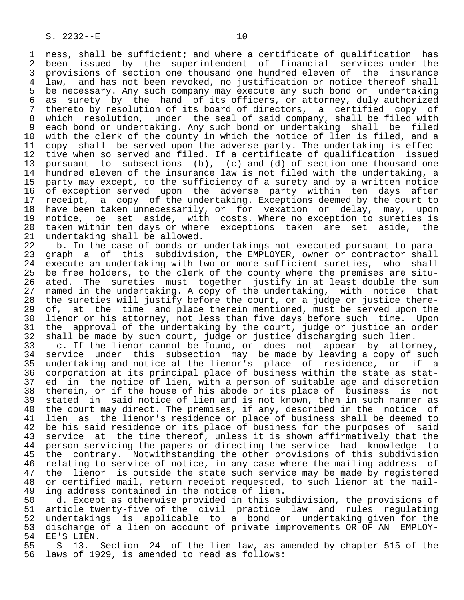1 ness, shall be sufficient; and where a certificate of qualification has<br>2 been issued by the superintendent of financial services under the 2 been issued by the superintendent of financial services under the<br>3 provisions of section one thousand one hundred eleven of the insurance 3 provisions of section one thousand one hundred eleven of the insurance<br>4 law, and has not been revoked, no justification or notice thereof shall 4 law, and has not been revoked, no justification or notice thereof shall 5 be necessary. Any such company may execute any such bond or undertaking 6 as surety by the hand of its officers, or attorney, duly authorized 7 thereto by resolution of its board of directors, a certified copy of<br>8 which resolution, under the seal of said company, shall be filed with 8 which resolution, under the seal of said company, shall be filed with ed which issues with the single of the count of the cach bond or undertaking shall be filed<br>10 with the clerk of the county in which the notice of lien is filed, and a 10 with the clerk of the county in which the notice of lien is filed, and a<br>11 copy shall be served upon the adverse party. The undertaking is effec-11 copy shall be served upon the adverse party. The undertaking is effec-<br>12 tive when so served and filed. If a certificate of qualification issued 12 tive when so served and filed. If a certificate of qualification issued<br>13 pursuant to subsections (b), (c) and (d) of section one thousand one 13 pursuant to subsections (b), (c) and (d) of section one thousand one 14 hundred eleven of the insurance law is not filed with the undertaking, a 15 party may except, to the sufficiency of a surety and by a written notice<br>16 of exception served upon the adverse party within ten days after 16 of exception served upon the adverse party within ten days after<br>17 receipt, a copy of the undertaking. Exceptions deemed by the court to 17 receipt, a copy of the undertaking. Exceptions deemed by the court to<br>18 have been taken unnecessarily, or for vexation or delay, may, upon 18 have been taken unnecessarily, or for vexation or delay, may, upon<br>19 notice, be set aside, with costs. Where no exception to sureties is 19 notice, be set aside, with costs. Where no exception to sureties is<br>20 taken within ten days or where exceptions taken are set aside, the 20 taken within ten days or where exceptions taken are set aside, the 21 undertaking shall be allowed.

21 undertaking shall be allowed.<br>22 b. In the case of bonds or 22 b. In the case of bonds or undertakings not executed pursuant to para-<br>23 graph a of this subdivision, the EMPLOYER, owner or contractor shall graph a of this subdivision, the EMPLOYER, owner or contractor shall 24 execute an undertaking with two or more sufficient sureties, who shall<br>25 be free holders, to the clerk of the county where the premises are sitube free holders, to the clerk of the county where the premises are situ-26 ated. The sureties must together justify in at least double the sum<br>27 named in the undertaking. A copy of the undertaking, with notice that 27 named in the undertaking. A copy of the undertaking, with notice that<br>28 the sureties will justify before the court, or a judge or justice there-28 the sureties will justify before the court, or a judge or justice there-<br>29 of, at the time and place therein mentioned, must be served upon the 29 of, at the time and place therein mentioned, must be served upon the<br>30 lienor or his attorney, not less than five days before such time. Upon 30 lienor or his attorney, not less than five days before such time. Upon<br>31 the approval of the undertaking by the court, judge or justice an order 31 the approval of the undertaking by the court, judge or justice an order<br>32 shall be made by such court, judge or justice discharging such lien.

32 shall be made by such court, judge or justice discharging such lien.<br>33 c. If the lienor cannot be found, or does not appear by attor 33 c. If the lienor cannot be found, or does not appear by attorney,<br>34 service under this subsection may be made by leaving a copy of such 34 service under this subsection may be made by leaving a copy of such<br>35 undertaking and notice at the lienor's place of residence, or if a 35 undertaking and notice at the lienor's place of residence, or if a<br>36 corporation at its principal place of business within the state as statcorporation at its principal place of business within the state as stat-37 ed in the notice of lien, with a person of suitable age and discretion<br>38 therein, or if the house of his abode or its place of business is not 38 therein, or if the house of his abode or its place of business is not<br>39 stated in said notice of lien and is not known, then in such manner as 39 stated in said notice of lien and is not known, then in such manner as<br>40 the court may direct. The premises, if any, described in the notice of 40 the court may direct. The premises, if any, described in the notice of<br>41 lien as the lienor's residence or place of business shall be deemed to 41 lien as the lienor's residence or place of business shall be deemed to<br>42 be his said residence or its place of business for the purposes of said 42 be his said residence or its place of business for the purposes of said<br>43 service at the time thereof, unless it is shown affirmatively that the 43 service at the time thereof, unless it is shown affirmatively that the<br>44 person servicing the papers or directing the service had knowledge to 44 person servicing the papers or directing the service had knowledge to<br>45 the contrary. Notwithstanding the other provisions of this subdivision the contrary. Notwithstanding the other provisions of this subdivision 46 relating to service of notice, in any case where the mailing address of<br>47 the lienor is outside the state such service may be made by registered 47 the lienor is outside the state such service may be made by registered<br>48 or certified mail, return receipt requested, to such lienor at the mail-48 or certified mail, return receipt requested, to such lienor at the mail-<br>49 ing address contained in the notice of lien. 49 ing address contained in the notice of lien.<br>50 d. Except as otherwise provided in this su

50 d. Except as otherwise provided in this subdivision, the provisions of<br>51 article twenty-five of the civil practice law and rules regulating 51 article twenty-five of the civil practice law and rules regulating<br>52 undertakings is applicable to a bond or undertaking given for the 52 undertakings is applicable to a bond or undertaking given for the 53 discharge of a lien on account of private improvements OR OF AN EMPLOY-<br>54 EE'S LIEN. 54 EE'S LIEN.<br>55 S 13.

55 S 13. Section 24 of the lien law, as amended by chapter 515 of the<br>56 laws of 1929, is amended to read as follows: laws of 1929, is amended to read as follows: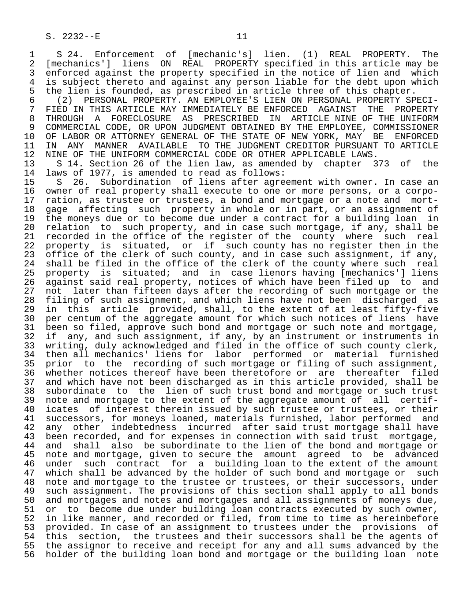1 S 24. Enforcement of [mechanic's] lien. (1) REAL PROPERTY. The<br>2 [mechanics'] liens ON REAL PROPERTY specified in this article may be 2 [mechanics'] liens ON REAL PROPERTY specified in this article may be 3 enforced against the property specified in the notice of lien and which<br>4 is subject thereto and against any person liable for the debt upon which 4 is subject thereto and against any person liable for the debt upon which<br>5 the lien is founded, as prescribed in article three of this chapter. 5 the lien is founded, as prescribed in article three of this chapter.<br>6 (2) PERSONAL PROPERTY. AN EMPLOYEE'S LIEN ON PERSONAL PROPERTY SP

 6 (2) PERSONAL PROPERTY. AN EMPLOYEE'S LIEN ON PERSONAL PROPERTY SPECI- 7 FIED IN THIS ARTICLE MAY IMMEDIATELY BE ENFORCED AGAINST THE PROPERTY<br>8 THROUGH A FORECLOSURE AS PRESCRIBED IN ARTICLE NINE OF THE UNIFORM 8 THROUGH A FORECLOSURE AS PRESCRIBED IN ARTICLENINE OF THE UNIFORM<br>9 COMMERCIAL CODE, OR UPON JUDGMENT OBTAINED BY THE EMPLOYEE, COMMISSIONER 9 COMMERCIAL CODE, OR UPON JUDGMENT OBTAINED BY THE EMPLOYEE, COMMISSIONER<br>10 OF LABOR OR ATTORNEY GENERAL OF THE STATE OF NEW YORK, MAY BE ENFORCED 10 OF LABOR OR ATTORNEY GENERAL OF THE STATE OF NEW YORK, MAY BE 11 IN ANY MANNER AVAILABLE TO THE JUDGMENT CREDITOR PURSUANT T 11 IN ANY MANNER AVAILABLE TO THE JUDGMENT CREDITOR PURSUANT TO ARTICLE<br>12 NINE OF THE UNIFORM COMMERCIAL CODE OR OTHER APPLICABLE LAWS. 12 NINE OF THE UNIFORM COMMERCIAL CODE OR OTHER APPLICABLE LAWS.<br>13 S 14. Section 26 of the lien law, as amended by chapter 3

13 S 14. Section 26 of the lien law, as amended by chapter 373 of the 14 laws of 1977, is amended to read as follows: 14 laws of 1977, is amended to read as follows:<br>15 S 26. Subordination of liens after agre

15 S 26. Subordination of liens after agreement with owner. In case an<br>16 owner of real property shall execute to one or more persons, or a corpo-16 owner of real property shall execute to one or more persons, or a corpo-<br>17 ration, as trustee or trustees, a bond and mortgage or a note and mort-17 ration, as trustee or trustees, a bond and mortgage or a note and mort-<br>18 gage affecting such property in whole or in part, or an assignment of 18 gage affecting such property in whole or in part, or an assignment of<br>19 the moneys due or to become due under a contract for a building loan in 19 the moneys due or to become due under a contract for a building loan in<br>20 relation to such property, and in case such mortgage, if any, shall be 20 relation to such property, and in case such mortgage, if any, shall be<br>21 recorded in the office of the register of the county where such real 21 recorded in the office of the register of the county where such<br>22 property is situated, or if such county has no register then in 22 property is situated, or if such county has no register then in the<br>23 office of the clerk of such county, and in case such assignment, if any, 23 office of the clerk of such county, and in case such assignment, if any,<br>24 shall be filed in the office of the clerk of the county where such real 24 shall be filed in the office of the clerk of the county where such real<br>25 property is situated; and in case lienors having [mechanics'] liens property is situated; and in case lienors having [mechanics'] liens 26 against said real property, notices of which have been filed up to and<br>27 not later than fifteen days after the recording of such mortgage or the 27 not later than fifteen days after the recording of such mortgage or the<br>28 filing of such assignment, and which liens have not been discharged as 28 filing of such assignment, and which liens have not been discharged as<br>29 in this article provided, shall, to the extent of at least fifty-five 29 in this article provided, shall, to the extent of at least fifty-five<br>30 per centum of the aggregate amount for which such notices of liens have 30 per centum of the aggregate amount for which such notices of liens have<br>31 been so filed, approve such bond and mortgage or such note and mortgage, 31 been so filed, approve such bond and mortgage or such note and mortgage,<br>32 if any, and such assignment, if any, by an instrument or instruments in 32 if any, and such assignment, if any, by an instrument or instruments in<br>33 writing, duly acknowledged and filed in the office of such county clerk, 33 writing, duly acknowledged and filed in the office of such county clerk,<br>34 then all mechanics' liens for labor performed or material furnished 34 then all mechanics' liens for labor performed or material furnished<br>35 prior to the recording of such mortgage or filing of such assignment, 35 prior to the recording of such mortgage or filing of such assignment,<br>36 whether notices thereof have been theretofore or are thereafter filed 36 whether notices thereof have been theretofore or are thereafter filed<br>37 and which have not been discharged as in this article provided, shall be 37 and which have not been discharged as in this article provided, shall be<br>38 subordinate to the lien of such trust bond and mortgage or such trust 38 subordinate to the lien of such trust bond and mortgage or such trust<br>39 note and mortgage to the extent of the aggregate amount of all certif-39 note and mortgage to the extent of the aggregate amount of all certif-<br>40 icates of interest therein issued by such trustee or trustees, or their 40 icates of interest therein issued by such trustee or trustees, or their<br>41 successors, for moneys loaned, materials furnished, labor performed and 41 successors, for moneys loaned, materials furnished, labor performed and<br>42 any other indebtedness incurred after said trust mortgage shall have 42 any other indebtedness incurred after said trust mortgage shall have<br>43 been recorded, and for expenses in connection with said trust mortgage, 43 been recorded, and for expenses in connection with said trust mortgage,<br>44 and shall also be subordinate to the lien of the bond and mortgage or 44 and shall also be subordinate to the lien of the bond and mortgage or<br>45 note and mortgage, given to secure the amount agreed to be advanced 45 note and mortgage, given to secure the amount agreed to be advanced<br>46 under such contract for a building loan to the extent of the amount 46 under such contract for a building loan to the extent of the amount<br>47 which shall be advanced by the holder of such bond and mortgage or such 47 which shall be advanced by the holder of such bond and mortgage or such<br>48 note and mortgage to the trustee or trustees, or their successors, under 48 note and mortgage to the trustee or trustees, or their successors, under<br>49 such assignment. The provisions of this section shall apply to all bonds 49 such assignment. The provisions of this section shall apply to all bonds<br>50 and mortgages and notes and mortgages and all assignments of moneys due. 50 and mortgages and notes and mortgages and all assignments of moneys due,<br>51 or to become due under building loan contracts executed by such owner, 51 or to become due under building loan contracts executed by such owner,<br>52 in like manner, and recorded or filed, from time to time as hereinbefore 52 in like manner, and recorded or filed, from time to time as hereinbefore<br>53 provided. In case of an assignment to trustees under the provisions of 53 provided. In case of an assignment to trustees under the provisions of<br>54 this section, the trustees and their successors shall be the agents of 54 this section, the trustees and their successors shall be the agents of<br>55 the assignor to receive and receipt for any and all sums advanced by the 55 the assignor to receive and receipt for any and all sums advanced by the<br>56 holder of the building loan bond and mortgage or the building loan note holder of the building loan bond and mortgage or the building loan note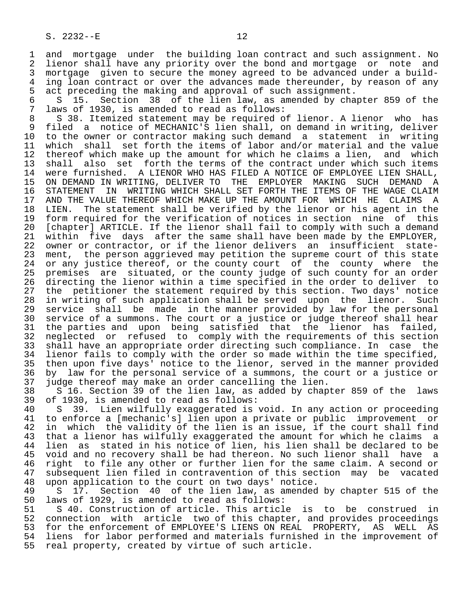1 and mortgage under the building loan contract and such assignment. No<br>2 lienor shall have any priority over the bond and mortgage or note and 2 lienor shall have any priority over the bond and mortgage or note and<br>3 mortgage given to secure the money agreed to be advanced under a build-3 mortgage given to secure the money agreed to be advanced under a build-<br>4 ing loan contract or over the advances made thereunder, by reason of any 4 ing loan contract or over the advances made thereunder, by reason of any<br>5 act preceding the making and approval of such assignment. 5 act preceding the making and approval of such assignment.<br>6 S 15. Section 38 of the lien law, as amended by cha

6 S 15. Section 38 of the lien law, as amended by chapter 859 of the 7 laws of 1930, is amended to read as follows: 7 laws of 1930, is amended to read as follows:<br>8 38. Itemized statement may be required of

8 S 38. Itemized statement may be required of lienor. A lienor who has<br>9 filed a notice of MECHANIC'S lien shall, on demand in writing, deliver 9 filed a notice of MECHANIC'S lien shall, on demand in writing, deliver<br>10 to the owner or contractor making such demand a statement in writing 10 to the owner or contractor making such demand a statement in writing<br>11 which shall set forth the items of labor and/or material and the value 11 which shall set forth the items of labor and/or material and the value<br>12 thereof which make up the amount for which he claims a lien, and which 12 thereof which make up the amount for which he claims a lien, and which<br>13 shall also set forth the terms of the contract under which such items 13 shall also set forth the terms of the contract under which such items<br>14 were furnished. A LIENOR WHO HAS FILED A NOTICE OF EMPLOYEE LIEN SHALL. were furnished. A LIENOR WHO HAS FILED A NOTICE OF EMPLOYEE LIEN SHALL, 15 ON DEMAND IN WRITING, DELIVER TO THE EMPLOYER MAKING SUCH DEMAND A<br>16 STATEMENT IN WRITING WHICH SHALL SET FORTH THE ITEMS OF THE WAGE CLAIM 16 STATEMENT IN WRITING WHICH SHALL SET FORTH THE ITEMS OF THE WAGE CLAIM<br>17 AND THE VALUE THEREOF WHICH MAKE UP THE AMOUNT FOR WHICH HE CLAIMS A 17 AND THE VALUE THEREOF WHICH MAKE UP THE AMOUNT FOR WHICH HE CLAIMS A<br>18 LIEN. The statement shall be verified by the lienor or his agent in the 18 LIEN. The statement shall be verified by the lienor or his agent in the<br>19 form required for the verification of notices in section nine of this 19 form required for the verification of notices in section nine of this<br>20 [chapter] ARTICLE. If the lienor shall fail to comply with such a demand 20 [chapter] ARTICLE. If the lienor shall fail to comply with such a demand<br>21 within five days after the same shall have been made by the EMPLOYER, 21 within five days after the same shall have been made by the EMPLOYER,<br>22 owner or contractor, or if the lienor delivers an insufficient state-22 owner or contractor, or if the lienor delivers an insufficient state-<br>23 ment, the person aggrieved may petition the supreme court of this state ment, the person aggrieved may petition the supreme court of this state 24 or any justice thereof, or the county court of the county where the<br>25 premises are situated, or the county judge of such county for an order 25 premises are situated, or the county judge of such county for an order 26 directing the lienor within a time specified in the order to deliver to<br>27 the petitioner the statement required by this section. Two days' notice 27 the petitioner the statement required by this section. Two days' notice<br>28 in writing of such application shall be served upon the lienor. Such 28 in writing of such application shall be served upon the lienor. Such<br>29 service shall be made in the manner provided by law for the personal 29 service shall be made in the manner provided by law for the personal<br>20 service of a summons. The court or a justice or judge thereof shall hear 30 service of a summons. The court or a justice or judge thereof shall hear<br>31 the parties and upon being satisfied that the lienor has failed. 31 the parties and upon being satisfied that the lienor has failed,<br>32 neglected or refused to comply with the requirements of this section 32 neglected or refused to comply with the requirements of this section<br>33 shall have an appropriate order directing such compliance. In case the 33 shall have an appropriate order directing such compliance. In case the<br>34 lienor fails to comply with the order so made within the time specified, 34 lienor fails to comply with the order so made within the time specified,<br>35 then upon five days' notice to the lienor, served in the manner provided 35 then upon five days' notice to the lienor, served in the manner provided<br>36 by law for the personal service of a summons, the court or a justice or by law for the personal service of a summons, the court or a justice or

 37 judge thereof may make an order cancelling the lien. 38 S 16. Section 39 of the lien law, as added by chapter 859 of the laws<br>39 of 1930, is amended to read as follows: 39 of 1930, is amended to read as follows:<br>40 S 39. Lien wilfully exaggerated is

5 39. Lien wilfully exaggerated is void. In any action or proceeding 41 to enforce a [mechanic's] lien upon a private or public improvement or<br>42 in which the validity of the lien is an issue, if the court shall find 42 in which the validity of the lien is an issue, if the court shall find 43 that a lienor has wilfully exaggerated the amount for which he claims a<br>44 lien as stated in his notice of lien, his lien shall be declared to be 44 lien as stated in his notice of lien, his lien shall be declared to be<br>45 void and no recovery shall be had thereon. No such lienor shall have a 45 void and no recovery shall be had thereon. No such lienor shall have a 46 right to file any other or further lien for the same claim. A second or<br>47 subsequent lien filed in contravention of this section may be vacated 47 subsequent lien filed in contravention of this section may be vacated<br>48 upon application to the court on two days' notice. 48 upon application to the court on two days' notice.

49 S 17. Section 40 of the lien law, as amended by chapter 515 of the 40 loss is amended to read as follows: 50 laws of 1929, is amended to read as follows:<br>51 S 40. Construction of article. This articl

51 S 40. Construction of article. This article is to be construed in<br>52 connection with article two of this chapter, and provides proceedings 52 connection with article two of this chapter, and provides proceedings<br>53 for the enforcement of EMPLOYEE'S LIENS ON REAL PROPERTY, AS WELL AS 53 for the enforcement of EMPLOYEE'S LIENS ON REAL PROPERTY, AS WELL AS<br>54 liens for labor performed and materials furnished in the improvement of 54 liens for labor performed and materials furnished in the improvement of<br>55 real property, created by virtue of such article. real property, created by virtue of such article.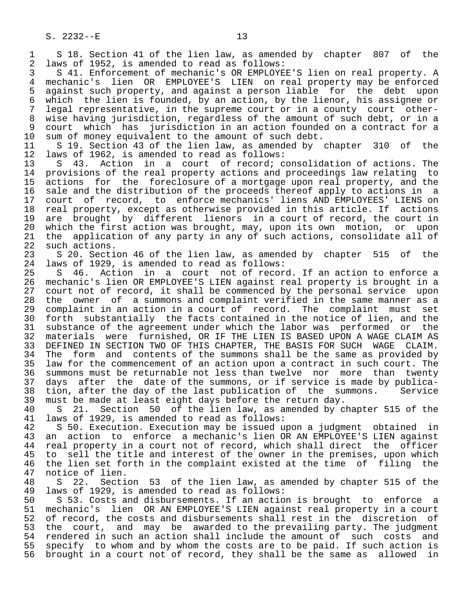1 S 18. Section 41 of the lien law, as amended by chapter 807 of the<br>2 laws of 1952, is amended to read as follows: 2 laws of 1952, is amended to read as follows:

 3 S 41. Enforcement of mechanic's OR EMPLOYEE'S lien on real property. A 4 mechanic's lien OR EMPLOYEE'S LIEN on real property may be enforced<br>5 against such property, and against a person liable for the debt upon 5 against such property, and against a person liable for the debt upon 6 which the lien is founded, by an action, by the lienor, his assignee or 7 legal representative, in the supreme court or in a county court other- 8 wise having jurisdiction, regardless of the amount of such debt, or in a 9 court which has jurisdiction in an action founded on a contract for a<br>10 sum of money equivalent to the amount of such debt.

10 sum of money equivalent to the amount of such debt.<br>11 S 19. Section 43 of the lien law, as amended by 11 S 19. Section 43 of the lien law, as amended by chapter 310 of the 12 laws of 1962, is amended to read as follows: 12 laws of 1962, is amended to read as follows:<br>13 S 43. Action in a court of record; co

13 S 43. Action in a court of record; consolidation of actions. The<br>14 provisions of the real property actions and proceedings law relating to provisions of the real property actions and proceedings law relating to 15 actions for the foreclosure of a mortgage upon real property, and the<br>16 sale and the distribution of the proceeds thereof apply to actions in a 16 sale and the distribution of the proceeds thereof apply to actions in a<br>17 court of record, to enforce mechanics' liens AND EMPLOYEES' LIENS on 17 court of record, to enforce mechanics' liens AND EMPLOYEES' LIENS on<br>18 real property, except as otherwise provided in this article. If actions 18 real property, except as otherwise provided in this article. If actions<br>19 are brought by different lienors in a court of record, the court in 19 are brought by different lienors in a court of record, the court in<br>20 which the first action was brought, may, upon its own motion, or upon 20 which the first action was brought, may, upon its own motion, or upon<br>21 the application of any party in any of such actions, consolidate all of 21 the application of any party in any of such actions, consolidate all of 22 such actions. 22 such actions.<br>23 S 20. Secti

23 S 20. Section 46 of the lien law, as amended by chapter 515 of the 24 laws of 1929, is amended to read as follows: 24 laws of 1929, is amended to read as follows:<br>25 S 46. Action in a court not of recor

S 46. Action in a court not of record. If an action to enforce a 26 mechanic's lien OR EMPLOYEE'S LIEN against real property is brought in a 27 court not of record, it shall be commenced by the personal service upon<br>28 the owner of a summons and complaint verified in the same manner as a 28 the owner of a summons and complaint verified in the same manner as a<br>29 complaint in an action in a court of record. The complaint must set 29 complaint in an action in a court of record. The complaint must set<br>30 forth substantially the facts contained in the notice of lien, and the 30 forth substantially the facts contained in the notice of lien, and the<br>31 substance of the agreement under which the labor was performed or the 31 substance of the agreement under which the labor was performed or the<br>32 materials were furnished, OR IF THE LIEN IS BASED UPON A WAGE CLAIM AS 32 materials were furnished, OR IF THE LIEN IS BASED UPON A WAGE CLAIM AS<br>33 DEFINED IN SECTION TWO OF THIS CHAPTER, THE BASIS FOR SUCH WAGE CLAIM. 33 DEFINED IN SECTION TWO OF THIS CHAPTER, THE BASIS FOR SUCH WAGE CLAIM.<br>34 The form and contents of the summons shall be the same as provided by 34 The form and contents of the summons shall be the same as provided by<br>35 law for the commencement of an action upon a contract in such court. The 35 law for the commencement of an action upon a contract in such court. The<br>36 summons must be returnable not less than twelve nor more than twenty summons must be returnable not less than twelve nor more than twenty 37 days after the date of the summons, or if service is made by publica- 38 tion, after the day of the last publication of the summons. Service<br>39 must be made at least eight days before the return day. 39 must be made at least eight days before the return day.

40 S 21. Section 50 of the lien law, as amended by chapter 515 of the 41 laws of 1929, is amended to read as follows: 41 laws of 1929, is amended to read as follows:

42 S 50. Execution. Execution may be issued upon a judgment obtained in<br>43 an action to enforce a mechanic's lien OR AN EMPLOYEE'S LIEN against 43 an action to enforce a mechanic's lien OR AN EMPLOYEE'S LIEN against<br>44 real property in a court not of record, which shall direct the officer 44 real property in a court not of record, which shall direct the officer<br>45 to sell the title and interest of the owner in the premises, upon which to sell the title and interest of the owner in the premises, upon which 46 the lien set forth in the complaint existed at the time of filing the 47 notice of lien. 47 notice of lien.<br>48 S 22. Secti

48 S 22. Section 53 of the lien law, as amended by chapter 515 of the 49 laws of 1929, is amended to read as follows: 49 laws of 1929, is amended to read as follows:

50 S 53. Costs and disbursements. If an action is brought to enforce a<br>51 mechanic's lien OR AN EMPLOYEE'S LIEN against real property in a court 51 mechanic's lien OR AN EMPLOYEE'S LIEN against real property in a court<br>52 of record, the costs and disbursements shall rest in the discretion of 52 of record, the costs and disbursements shall rest in the discretion of<br>53 the court, and may be awarded to the prevailing party. The judgment 53 the court, and may be awarded to the prevailing party. The judgment<br>54 rendered in such an action shall include the amount of such costs and 54 rendered in such an action shall include the amount of such costs and<br>55 specify to whom and by whom the costs are to be paid. If such action is 55 specify to whom and by whom the costs are to be paid. If such action is<br>56 brought in a court not of record, they shall be the same as allowed in brought in a court not of record, they shall be the same as allowed in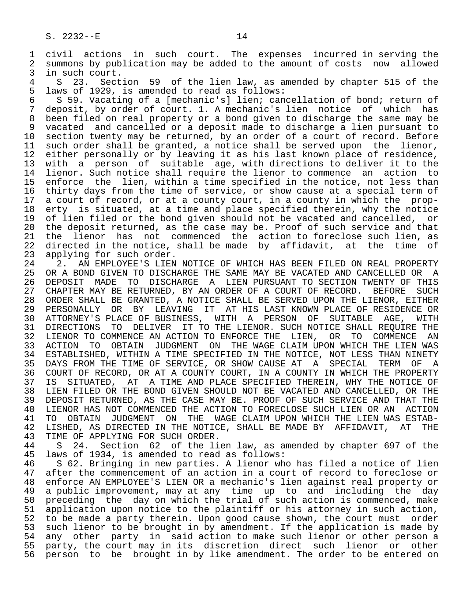1 civil actions in such court. The expenses incurred in serving the<br>2 summons by publication may be added to the amount of costs now allowed 2 summons by publication may be added to the amount of costs now allowed<br>3 in such court. 3 in such court.<br>4 S 23 Sect

4 S 23. Section 59 of the lien law, as amended by chapter 515 of the<br>5 laws of 1929, is amended to read as follows: 5 laws of 1929, is amended to read as follows:<br>6 59. Vacating of a [mechanic's] lien; can

6 S 59. Vacating of a [mechanic's] lien; cancellation of bond; return of<br>7 deposit, by order of court, 1, A mechanic's lien notice of which has 7 deposit, by order of court. 1. A mechanic's lien notice of which has<br>8 been filed on real property or a bond given to discharge the same may be 8 been filed on real property or a bond given to discharge the same may be<br>8 vacated and cancelled or a deposit made to discharge a lien pursuant to 9 vacated and cancelled or a deposit made to discharge a lien pursuant to<br>10 section twenty may be returned, by an order of a court of record. Before 10 section twenty may be returned, by an order of a court of record. Before<br>11 such order shall be granted, a notice shall be served upon the lienor, 11 such order shall be granted, a notice shall be served upon the lienor,<br>12 either personally or by leaving it as his last known place of residence, 12 either personally or by leaving it as his last known place of residence,<br>13 with a person of suitable age, with directions to deliver it to the 13 with a person of suitable age, with directions to deliver it to the<br>14 lienor. Such notice shall require the lienor to commence an action to lienor. Such notice shall require the lienor to commence an action to 15 enforce the lien, within a time specified in the notice, not less than<br>16 thirty days from the time of service, or show cause at a special term of 16 thirty days from the time of service, or show cause at a special term of<br>17 a court of record, or at a county court, in a county in which the prop-17 a court of record, or at a county court, in a county in which the prop-<br>18 erty is situated, at a time and place specified therein, why the notice 18 erty is situated, at a time and place specified therein, why the notice<br>19 of lien filed or the bond given should not be vacated and cancelled, or 19 of lien filed or the bond given should not be vacated and cancelled, or<br>20 the deposit returned, as the case may be. Proof of such service and that 20 the deposit returned, as the case may be. Proof of such service and that<br>21 the lienor has not commenced the action to foreclose such lien, as 21 the lienor has not commenced the action to foreclose such lien, as<br>22 directed in the notice, shall be made by affidavit, at the time of 22 directed in the notice, shall be made by affidavit, at the time of 23 applying for such order.

23 applying for such order.<br>24 2. AN EMPLOYEE'S LIEN 24 2. AN EMPLOYEE'S LIEN NOTICE OF WHICH HAS BEEN FILED ON REAL PROPERTY<br>25 OR A BOND GIVEN TO DISCHARGE THE SAME MAY BE VACATED AND CANCELLED OR A OR A BOND GIVEN TO DISCHARGE THE SAME MAY BE VACATED AND CANCELLED OR A 26 DEPOSIT MADE TO DISCHARGE A LIEN PURSUANT TO SECTION TWENTY OF THIS<br>27 CHAPTER MAY BE RETURNED, BY AN ORDER OF A COURT OF RECORD. BEFORE SUCH 27 CHAPTER MAY BE RETURNED, BY AN ORDER OF A COURT OF RECORD. BEFORE SUCH<br>28 ORDER SHALL BE GRANTED, A NOTICE SHALL BE SERVED UPON THE LIENOR, EITHER 28 ORDER SHALL BE GRANTED, A NOTICE SHALL BE SERVED UPON THE LIENOR, EITHER 29 PERSONALLY OR BY LEAVING IT AT HIS LAST KNOWN PLACE OF RESIDENCE OR 30 ATTORNEY'S PLACE OF BUSINESS, WITH A PERSON OF SUITABLE AGE, WITH<br>31 DIRECTIONS TO DELIVER IT TO THE LIENOR. SUCH NOTICE SHALL REQUIRE THE 31 DIRECTIONS TO DELIVER IT TO THE LIENOR. SUCH NOTICE SHALL REQUIRE THE<br>32 LIENOR TO COMMENCE AN ACTION TO ENFORCE THE LIEN, OR TO COMMENCE AN 32 LIENOR TO COMMENCE AN ACTION TO ENFORCE THE LIEN,<br>33 ACTION TO OBTAIN JUDGMENT ON THE WAGE CLAIM UP 33 ACTION TO OBTAIN JUDGMENT ON THE WAGE CLAIM UPON WHICH THE LIEN WAS 34 ESTABLISHED, WITHIN A TIME SPECIFIED IN THE NOTICE, NOT LESS THAN NINETY<br>35 DAYS FROM THE TIME OF SERVICE, OR SHOW CAUSE AT A SPECIAL TERM OF A 35 DAYS FROM THE TIME OF SERVICE, OR SHOW CAUSE AT A SPECIAL TERM OF A<br>36 COURT OF RECORD, OR AT A COUNTY COURT, IN A COUNTY IN WHICH THE PROPERTY 36 COURT OF RECORD, OR AT A COUNTY COURT, IN A COUNTY IN WHICH THE PROPERTY 37 IS SITUATED, AT A TIME AND PLACE SPECIFIED THEREIN, WHY THE NOTICE OF 38 LIEN FILED OR THE BOND GIVEN SHOULD NOT BE VACATED AND CANCELLED, OR THE 39 DEPOSIT RETURNED, AS THE CASE MAY BE. PROOF OF SUCH SERVICE AND THAT THE 40 LIENOR HAS NOT COMMENCED THE ACTION 40 LIENOR HAS NOT COMMENCED THE ACTION TO FORECLOSE SUCH LIEN OR AN ACTION<br>41 TO OBTAIN JUDGMENT ON THE WAGE CLAIM UPON WHICH THE LIEN WAS ESTAB-41 TO OBTAIN JUDGMENT ON THE WAGE CLAIM UPON WHICH THE LIEN WAS ESTAB-<br>42 LISHED, AS DIRECTED IN THE NOTICE, SHALL BE MADE BY AFFIDAVIT, AT THE 42 LISHED, AS DIRECTED IN THE NOTICE, SHALL BE MADE BY AFFIDAVIT, AT THE 43 TIME OF APPLYING FOR SUCH ORDER. 43 TIME OF APPLYING FOR SUCH ORDER.<br>44 S 24. Section 62 of the li

44 S 24. Section 62 of the lien law, as amended by chapter 697 of the 45 laws of 1934, is amended to read as follows: laws of 1934, is amended to read as follows:

46 S 62. Bringing in new parties. A lienor who has filed a notice of lien<br>47 after the commencement of an action in a court of record to foreclose or 47 after the commencement of an action in a court of record to foreclose or<br>48 enforce AN EMPLOYEE'S LIEN OR a mechanic's lien against real property or 48 enforce AN EMPLOYEE'S LIEN OR a mechanic's lien against real property or 49 a public improvement, may at any time up to and including the day 50 preceding the day on which the trial of such action is commenced, make 51 application upon notice to the plaintiff or his attorney in such action, 52 to be made a party therein. Upon good cause shown, the court must order 53 such lienor to be brought in by amendment. If the application is made by<br>54 any other party in said action to make such lienor or other person a 54 any other party in said action to make such lienor or other person a<br>55 party, the court may in its discretion direct such lienor or other 55 party, the court may in its discretion direct such lienor or other<br>56 person to be brought in by like amendment. The order to be entered on 56 person to be brought in by like amendment. The order to be entered on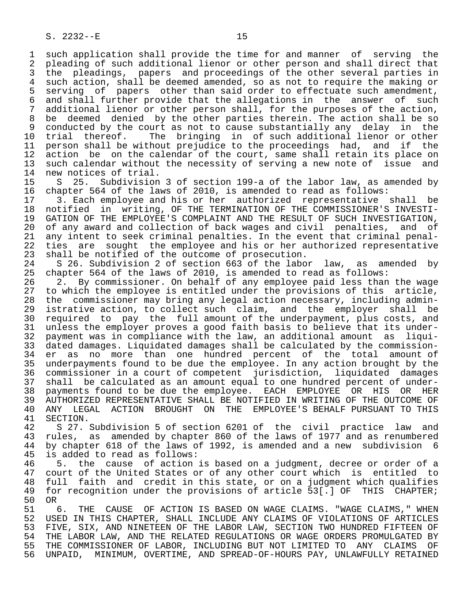1 such application shall provide the time for and manner of serving the<br>2 pleading of such additional lienor or other person and shall direct that 2 pleading of such additional lienor or other person and shall direct that<br>3 the pleadings, papers and proceedings of the other several parties in 3 the pleadings, papers and proceedings of the other several parties in<br>4 such action, shall be deemed amended, so as not to require the making or 4 such action, shall be deemed amended, so as not to require the making or<br>5 serving of papers other than said order to effectuate such amendment, 5 serving of papers other than said order to effectuate such amendment,<br>6 and shall further provide that the allegations in the answer of such 6 and shall further provide that the allegations in the answer of such<br>7 additional lienor or other person shall, for the purposes of the action, additional lienor or other person shall, for the purposes of the action, 8 be deemed denied by the other parties therein. The action shall be so<br>8 conducted by the court as not to cause substantially any delay in the 9 conducted by the court as not to cause substantially any delay in the<br>10 trial thereof. The bringing in of such additional lienor or other 10 trial thereof. The bringing in of such additional lienor or other<br>11 person shall be without prejudice to the proceedings had, and if the 11 person shall be without prejudice to the proceedings had, and if the<br>12 action be on the calendar of the court, same shall retain its place on 12 action be on the calendar of the court, same shall retain its place on<br>13 such calendar without the necessity of serving a new note of issue and 13 such calendar without the necessity of serving a new note of issue and<br>14 new notices of trial. 14 new notices of trial.<br>15 S 25. Subdivision

15 S 25. Subdivision 3 of section 199-a of the labor law, as amended by<br>16 chapter 564 of the laws of 2010, is amended to read as follows: 16 chapter 564 of the laws of 2010, is amended to read as follows:<br>17 3. Each employee and his or her authorized representative

17 3. Each employee and his or her authorized representative shall be<br>18 notified in writing, OF THE TERMINATION OF THE COMMISSIONER'S INVESTI-18 notified in writing, OF THE TERMINATION OF THE COMMISSIONER'S INVESTI-<br>19 GATION OF THE EMPLOYEE'S COMPLAINT AND THE RESULT OF SUCH INVESTIGATION, 19 GATION OF THE EMPLOYEE'S COMPLAINT AND THE RESULT OF SUCH INVESTIGATION,<br>20 of any award and collection of back wages and civil penalties, and of 20 of any award and collection of back wages and civil penalties, and of<br>21 any intent to seek criminal penalties. In the event that criminal penal-21 any intent to seek criminal penalties. In the event that criminal penal-<br>22 ties are sought the employee and his or her authorized representative 22 ties are sought the employee and his or her authorized representative<br>23 shall be notified of the outcome of prosecution. 23 shall be notified of the outcome of prosecution.<br>24 S 26. Subdivision 2 of section 663 of the labo

24 S 26. Subdivision 2 of section  $663$  of the labor law, as amended by<br>25 chapter 564 of the laws of 2010, is amended to read as follows: chapter 564 of the laws of 2010, is amended to read as follows:

26 2. By commissioner. On behalf of any employee paid less than the wage<br>27 to which the employee is entitled under the provisions of this article, 27 to which the employee is entitled under the provisions of this article,<br>28 the commissioner may bring any legal action necessary, including admin-28 the commissioner may bring any legal action necessary, including admin-<br>29 istrative action, to collect such claim, and the employer shall be 29 istrative action, to collect such claim, and the employer shall be<br>20 required to pay the full amount of the underpayment, plus costs, and 30 required to pay the full amount of the underpayment, plus costs, and 31 unless the employer proves a good faith basis to believe that its under-<br>32 payment was in compliance with the law, an additional amount as liqui- 32 payment was in compliance with the law, an additional amount as liqui- 33 dated damages. Liquidated damages shall be calculated by the commission- 34 er as no more than one hundred percent of the total amount of<br>35 underpayments found to be due the employee. In any action brought by the 35 underpayments found to be due the employee. In any action brought by the<br>36 commissioner in a court of competent jurisdiction, liquidated damages 36 commissioner in a court of competent jurisdiction, liquidated damages 37 shall be calculated as an amount equal to one hundred percent of under- 38 payments found to be due the employee. EACH EMPLOYEE OR HIS OR HER 39 AUTHORIZED REPRESENTATIVE SHALL BE NOTIFIED IN WRITING OF THE OUTCOME OF<br>40 ANY LEGAL ACTION BROUGHT ON THE EMPLOYEE'S BEHALF PURSUANT TO THIS 40 ANY LEGAL ACTION BROUGHT ON THE EMPLOYEE'S BEHALF PURSUANT TO THIS<br>41 SECTION.

41 SECTION.<br>42 S 27. 42 S 27. Subdivision 5 of section 6201 of the civil practice law and<br>43 rules, as amended by chapter 860 of the laws of 1977 and as renumbered 43 rules, as amended by chapter 860 of the laws of 1977 and as renumbered<br>44 by chapter 618 of the laws of 1992, is amended and a new subdivision 6 44 by chapter 618 of the laws of 1992, is amended and a new subdivision 6<br>45 is added to read as follows: is added to read as follows:

46 5. the cause of action is based on a judgment, decree or order of a<br>47 court of the United States or of any other court which is entitled to 47 court of the United States or of any other court which is entitled to 48 full faith and credit in this state, or on a judgment which qualifies<br>49 for recognition under the provisions of article 53[.] OF THIS CHAPTER; for recognition under the provisions of article 53[.] OF THIS CHAPTER;<br>OR 50<br>51

51 6. THE CAUSE OF ACTION IS BASED ON WAGE CLAIMS. "WAGE CLAIMS," WHEN<br>52 USED IN THIS CHAPTER, SHALL INCLUDE ANY CLAIMS OF VIOLATIONS OF ARTICLES USED IN THIS CHAPTER, SHALL INCLUDE ANY CLAIMS OF VIOLATIONS OF ARTICLES 53 FIVE, SIX, AND NINETEEN OF THE LABOR LAW, SECTION TWO HUNDRED FIFTEEN OF<br>54 THE LABOR LAW, AND THE RELATED REGULATIONS OR WAGE ORDERS PROMULGATED BY 54 THE LABOR LAW, AND THE RELATED REGULATIONS OR WAGE ORDERS PROMULGATED BY<br>55 THE COMMISSIONER OF LABOR, INCLUDING BUT NOT LIMITED TO ANY CLAIMS OF 55 THE COMMISSIONER OF LABOR, INCLUDING BUT NOT LIMITED TO ANY CLAIMS OF<br>56 UNPAID, MINIMUM, OVERTIME, AND SPREAD-OF-HOURS PAY, UNLAWFULLY RETAINED UNPAID, MINIMUM, OVERTIME, AND SPREAD-OF-HOURS PAY, UNLAWFULLY RETAINED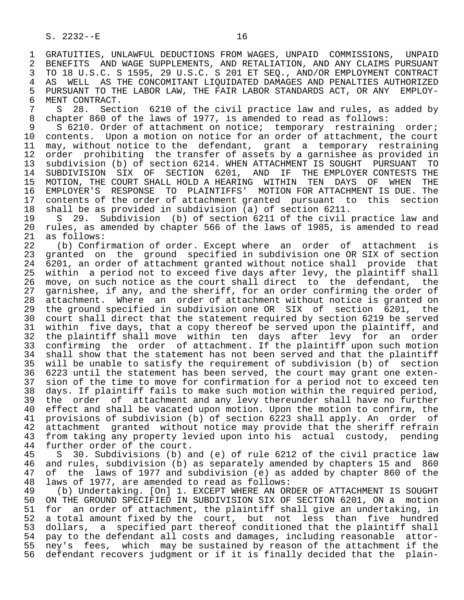1 GRATUITIES, UNLAWFUL DEDUCTIONS FROM WAGES, UNPAID COMMISSIONS, UNPAID<br>2 BENEFITS AND WAGE SUPPLEMENTS, AND RETALIATION, AND ANY CLAIMS PURSUANT 2 BENEFITS AND WAGE SUPPLEMENTS, AND RETALIATION, AND ANY CLAIMS PURSUANT<br>3 TO 18 U.S.C. S 1595, 29 U.S.C. S 201 ET SEO., AND/OR EMPLOYMENT CONTRACT 3 TO 18 U.S.C. S 1595, 29 U.S.C. S 201 ET SEQ., AND/OR EMPLOYMENT CONTRACT<br>4 AS WELL AS THE CONCOMITANT LIOUIDATED DAMAGES AND PENALTIES AUTHORIZED 4 AS WELL AS THE CONCOMITANT LIQUIDATED DAMAGES AND PENALTIES AUTHORIZED<br>5 PURSUANT TO THE LABOR LAW, THE FAIR LABOR STANDARDS ACT, OR ANY EMPLOY-5 PURSUANT TO THE LABOR LAW, THE FAIR LABOR STANDARDS ACT, OR ANY  $\overline{6}$  ment contract. 6 MENT CONTRACT.<br>7 S 28. Sect

7 S 28. Section 6210 of the civil practice law and rules, as added by<br>8 chapter 860 of the laws of 1977, is amended to read as follows: 8 chapter 860 of the laws of 1977, is amended to read as follows:<br>9 S 6210. Order of attachment on notice; temporary restrainin

9 S 6210. Order of attachment on notice; temporary restraining order;<br>10 contents. Upon a motion on notice for an order of attachment, the court 10 contents. Upon a motion on notice for an order of attachment, the court<br>11 may, without notice to the defendant, grant a temporary restraining 11 may, without notice to the defendant, grant a temporary restraining<br>12 order prohibiting the transfer of assets by a garnishee as provided in 12 order prohibiting the transfer of assets by a garnishee as provided in<br>13 subdivision (b) of section 6214. WHEN ATTACHMENT IS SOUGHT PURSUANT TO 13 subdivision (b) of section 6214. WHEN ATTACHMENT IS SOUGHT PURSUANT TO<br>14 SUBDIVISION SIX OF SECTION 6201, AND IF THE EMPLOYER CONTESTS THE SUBDIVISION SIX OF SECTION 6201, AND IF THE EMPLOYER CONTESTS THE 15 MOTION, THE COURT SHALL HOLD A HEARING WITHIN TEN DAYS OF WHEN THE<br>16 EMPLOYER'S RESPONSE TO PLAINTIFFS' MOTION FOR ATTACHMENT IS DUE. The 16 EMPLOYER'S RESPONSE TO PLAINTIFFS' MOTION FOR ATTACHMENT IS DUE. The<br>17 contents of the order of attachment granted pursuant to this section 17 contents of the order of attachment granted pursuant to this<br>18 shall be as provided in subdivision (a) of section 6211. 18 shall be as provided in subdivision (a) of section 6211.

19 S 29. Subdivision (b) of section 6211 of the civil practice law and<br>20 rules, as amended by chapter 566 of the laws of 1985, is amended to read 20 rules, as amended by chapter 566 of the laws of 1985, is amended to read<br>21 as follows: 21 as follows:<br>22 (b) Confi

22 (b) Confirmation of order. Except where an order of attachment is<br>23 granted on the ground specified in subdivision one OR SIX of section granted on the ground specified in subdivision one OR SIX of section 24 6201, an order of attachment granted without notice shall provide that<br>25 within a period not to exceed five days after levy, the plaintiff shall within a period not to exceed five days after levy, the plaintiff shall 26 move, on such notice as the court shall direct to the defendant, the<br>27 garnishee, if any, and the sheriff, for an order confirming the order of 27 garnishee, if any, and the sheriff, for an order confirming the order of<br>28 attachment. Where an order of attachment without notice is granted on 28 attachment. Where an order of attachment without notice is granted on<br>29 the ground specified in subdivision one OR SIX of section 6201, the 29 the ground specified in subdivision one OR SIX of section 6201, the<br>30 court shall direct that the statement required by section 6219 be served 30 court shall direct that the statement required by section 6219 be served<br>31 within five days, that a copy thereof be served upon the plaintiff, and 31 within five days, that a copy thereof be served upon the plaintiff, and<br>32 the plaintiff shall move within ten days after levy for an order 32 the plaintiff shall move within ten days after levy for an order<br>33 confirming the order of attachment. If the plaintiff upon such motion 33 confirming the order of attachment. If the plaintiff upon such motion<br>34 shall show that the statement has not been served and that the plaintiff 34 shall show that the statement has not been served and that the plaintiff<br>35 will be unable to satisfy the requirement of subdivision (b) of section 35 will be unable to satisfy the requirement of subdivision (b) of section 6223 until the statement has been served, the court may grant one exten-37 sion of the time to move for confirmation for a period not to exceed ten<br>38 days. If plaintiff fails to make such motion within the required period, 38 days. If plaintiff fails to make such motion within the required period,<br>39 the order of attachment and any levy thereunder shall have no further 39 the order of attachment and any levy thereunder shall have no further<br>40 effect and shall be vacated upon motion. Upon the motion to confirm, the 40 effect and shall be vacated upon motion. Upon the motion to confirm, the 41 provisions of subdivision (b) of section 6223 shall apply. An order of 41 provisions of subdivision (b) of section 6223 shall apply. An order of<br>42 attachment granted without notice may provide that the sheriff refrain 42 attachment granted without notice may provide that the sheriff refrain<br>43 from taking any property levied upon into his actual custody, pending 43 from taking any property levied upon into his actual custody, pending<br>44 further order of the court.

44 further order of the court.<br>45 S 30. Subdivisions (b) a 45 S 30. Subdivisions (b) and (e) of rule 6212 of the civil practice law 46 and rules, subdivision (b) as separately amended by chapters 15 and 860<br>47 of the laws of 1977 and subdivision (e) as added by chapter 860 of the 47 of the laws of 1977 and subdivision (e) as added by chapter 860 of the

 48 laws of 1977, are amended to read as follows: 49 (b) Undertaking. [On] 1. EXCEPT WHERE AN ORDER OF ATTACHMENT IS SOUGHT<br>50 ON THE GROUND SPECIFIED IN SUBDIVISION SIX OF SECTION 6201, ON a motion 50 ON THE GROUND SPECIFIED IN SUBDIVISION SIX OF SECTION 6201, ON a motion<br>51 for an order of attachment, the plaintiff shall give an undertaking, in 51 for an order of attachment, the plaintiff shall give an undertaking, in<br>52 a total amount fixed by the court, but not less than five hundred 52 a total amount fixed by the court, but not less than five hundred<br>53 dollars, a specified part thereof conditioned that the plaintiff shall 53 dollars, a specified part thereof conditioned that the plaintiff shall<br>54 pay to the defendant all costs and damages, including reasonable attor-54 pay to the defendant all costs and damages, including reasonable attor-<br>55 ney's fees, which may be sustained by reason of the attachment if the ney's fees, which may be sustained by reason of the attachment if the 56 defendant recovers judgment or if it is finally decided that the plain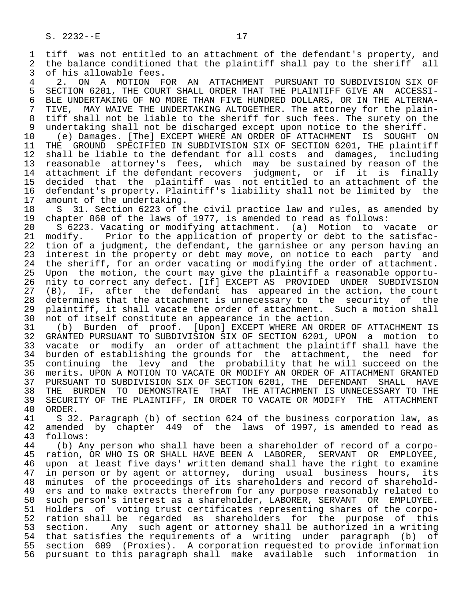1 tiff was not entitled to an attachment of the defendant's property, and<br>2 the balance conditioned that the plaintiff shall pay to the sheriff all 2 the balance conditioned that the plaintiff shall pay to the sheriff all<br>3 of his allowable fees. 3 of his allowable fees.<br>4 2. ON A MOTION F

4 2. ON A MOTION FOR AN ATTACHMENT PURSUANT TO SUBDIVISION SIX OF<br>5 SECTION 6201, THE COURT SHALL ORDER THAT THE PLAINTIFF GIVE AN ACCESSI-5 SECTION 6201, THE COURT SHALL ORDER THAT THE PLAINTIFF GIVE AN ACCESSI-<br>6 BLE UNDERTAKING OF NO MORE THAN FIVE HUNDRED DOLLARS, OR IN THE ALTERNA-6 BLE UNDERTAKING OF NO MORE THAN FIVE HUNDRED DOLLARS, OR IN THE ALTERNA-<br>7 TIVE, MAY WAIVE THE UNDERTAKING ALTOGETHER. The attorney for the plain-7 TIVE, MAY WAIVE THE UNDERTAKING ALTOGETHER. The attorney for the plain-<br>8 tiff shall not be liable to the sheriff for such fees. The surety on the 8 tiff shall not be liable to the sheriff for such fees. The surety on the<br>9 undertaking shall not be discharged except upon notice to the sheriff.

9 undertaking shall not be discharged except upon notice to the sheriff.<br>10 (e) Damages. [The] EXCEPT WHERE AN ORDER OF ATTACHMENT IS SOUGHT 10 (e) Damages. [The] EXCEPT WHERE AN ORDER OF ATTACHMENT IS SOUGHT ON<br>11 THE GROUND SPECIFIED IN SUBDIVISION SIX OF SECTION 6201. THE plaintiff 11 THE GROUND SPECIFIED IN SUBDIVISION SIX OF SECTION 6201, THE plaintiff<br>12 shall be liable to the defendant for all costs and damages, including 12 shall be liable to the defendant for all costs and damages, including<br>13 reasonable attorney's fees, which may be sustained by reason of the 13 reasonable attorney's fees, which may be sustained by reason of the<br>14 attachment if the defendant recovers judgment, or if it is finally attachment if the defendant recovers judgment, or if it is finally 15 decided that the plaintiff was not entitled to an attachment of the<br>16 defendant's property. Plaintiff's liability shall not be limited by the 16 defendant's property. Plaintiff's liability shall not be limited by the<br>17 amount of the undertaking. 17 amount of the undertaking.<br>18 S 31. Section 6223 of t

18 S 31. Section 6223 of the civil practice law and rules, as amended by<br>19 chapter 860 of the laws of 1977, is amended to read as follows: 19 chapter 860 of the laws of 1977, is amended to read as follows:<br>20 S 6223. Vacating or modifying attachment. (a) Motion to y

20 S 6223. Vacating or modifying attachment. (a) Motion to vacate or<br>21 modify. Prior to the application of property or debt to the satisfac-21 modify. Prior to the application of property or debt to the satisfac-<br>22 tion of a judgment, the defendant, the garnishee or any person having an 22 tion of a judgment, the defendant, the garnishee or any person having an<br>23 interest in the property or debt may move, on notice to each party and interest in the property or debt may move, on notice to each party and 24 the sheriff, for an order vacating or modifying the order of attachment.<br>25 Upon the motion, the court may give the plaintiff a reasonable opportu-Upon the motion, the court may give the plaintiff a reasonable opportu-26 nity to correct any defect. [If] EXCEPT AS PROVIDED UNDER SUBDIVISION<br>27 (B), IF, after the defendant has appeared in the action, the court 27 (B), IF, after the defendant has appeared in the action, the court<br>28 determines that the attachment is unnecessary to the security of the 28 determines that the attachment is unnecessary to the security of the<br>29 plaintiff, it shall vacate the order of attachment. Such a motion shall 29 plaintiff, it shall vacate the order of attachment. Such a motion shall<br>30 not of itself constitute an appearance in the action. 30 not of itself constitute an appearance in the action.<br>31 (b) Burden of proof. [Upon] EXCEPT WHERE AN ORD

31 (b) Burden of proof. [Upon] EXCEPT WHERE AN ORDER OF ATTACHMENT IS<br>32 GRANTED PURSUANT TO SUBDIVISION SIX OF SECTION 6201, UPON a motion to 32 GRANTED PURSUANT TO SUBDIVISION SIX OF SECTION 6201, UPON a motion to<br>33 vacate or modify an order of attachment the plaintiff shall have the 33 vacate or modify an order of attachment the plaintiff shall have the<br>34 burden of establishing the grounds for the attachment, the need for 34 burden of establishing the grounds for the attachment, the need for<br>35 continuing the levy and the probability that he will succeed on the 35 continuing the levy and the probability that he will succeed on the<br>36 merits. UPON A MOTION TO VACATE OR MODIFY AN ORDER OF ATTACHMENT GRANTED 36 merits. UPON A MOTION TO VACATE OR MODIFY AN ORDER OF ATTACHMENT GRANTED 37 PURSUANT TO SUBDIVISION SIX OF SECTION 6201, THE DEFENDANT SHALL HAVE<br>38 THE BURDEN TO DEMONSTRATE THAT THE ATTACHMENT IS UNNECESSARY TO THE 38 THE BURDEN TO DEMONSTRATE THAT THE ATTACHMENT IS UNNECESSARY TO THE 39 SECURITY OF THE PLAINTIFF, IN ORDER TO VACATE OR MODIFY THE ATTACHMENT 39 SECURITY OF THE PLAINTIFF, IN ORDER TO VACATE OR MODIFY THE ATTACHMENT 40 ORDER. 40 ORDER.<br>41 S 32

 41 S 32. Paragraph (b) of section 624 of the business corporation law, as 42 amended by chapter 449 of the laws of 1997, is amended to read as 43 follows: 43 follows:<br>44 (b) An

44 (b) Any person who shall have been a shareholder of record of a corpo-<br>45 ration, OR WHO IS OR SHALL HAVE BEEN A LABORER, SERVANT OR EMPLOYEE, 45 ration, OR WHO IS OR SHALL HAVE BEEN A LABORER, SERVANT OR EMPLOYEE, 46 upon at least five days' written demand shall have the right to examine<br>47 in person or by agent or attorney, during usual business hours, its 47 in person or by agent or attorney, during usual business hours, its<br>48 minutes of the proceedings of its shareholders and record of sharehold- 48 minutes of the proceedings of its shareholders and record of sharehold- 49 ers and to make extracts therefrom for any purpose reasonably related to<br>50 such person's interest as a shareholder, LABORER, SERVANT OR EMPLOYEE. 50 such person's interest as a shareholder, LABORER, SERVANT OR EMPLOYEE.<br>51 Holders of voting trust certificates representing shares of the corpo- 51 Holders of voting trust certificates representing shares of the corpo- 52 ration shall be regarded as shareholders for the purpose of this<br>53 section. Any such agent or attorney shall be authorized in a writing 53 section. Any such agent or attorney shall be authorized in a writing<br>54 that satisfies the requirements of a writing under paragraph (b) of 54 that satisfies the requirements of a writing under paragraph<br>55 section 609 (Proxies). A corporation requested to provide inf 55 section 609 (Proxies). A corporation requested to provide information 56 pursuant to this paragraph shall make available such information in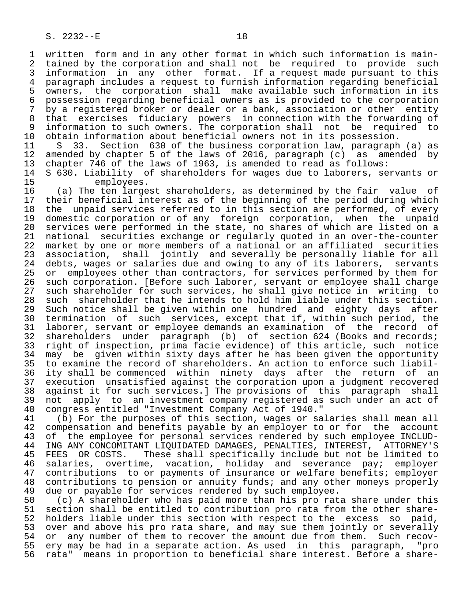1 written form and in any other format in which such information is main-<br>2 tained by the corporation and shall not be required to provide such 2 tained by the corporation and shall not be required to provide such<br>3 information in any other format. If a request made pursuant to this 3 information in any other format. If a request made pursuant to this<br>4 paragraph includes a request to furnish information regarding beneficial 4 paragraph includes a request to furnish information regarding beneficial<br>5 owners, the corporation shall make available such information in its 5 owners, the corporation shall make available such information in its<br>6 possession regarding beneficial owners as is provided to the corporation 6 possession regarding beneficial owners as is provided to the corporation<br>7 by a registered broker or dealer or a bank, association or other entity 7 by a registered broker or dealer or a bank, association or other entity<br>8 that exercises fiduciary powers in connection with the forwarding of 8 that exercises fiduciary powers in connection with the forwarding of 9 information to such owners. The corporation shall not be required to

10 obtain information about beneficial owners not in its possession.<br>11 S 33. Section 630 of the business corporation law, paragraph 11 S 33. Section 630 of the business corporation law, paragraph (a) as<br>12 amended by chapter 5 of the laws of 2016, paragraph (c) as amended by 12 amended by chapter 5 of the laws of 2016, paragraph (c) as amended by<br>13 chapter 746 of the laws of 1963, is amended to read as follows: 13 chapter 746 of the laws of 1963, is amended to read as follows:<br>14 S 630. Liability of shareholders for wages due to laborers, se

14 S 630. Liability of shareholders for wages due to laborers, servants or<br>15 employees.

15 employees.<br>16 (a) The ten large 16 (a) The ten largest shareholders, as determined by the fair value of 17 their beneficial interest as of the beginning of the period during which<br>18 the unpaid services referred to in this section are performed, of every 18 the unpaid services referred to in this section are performed, of every<br>19 domestic corporation or of any foreign corporation, when the unpaid 19 domestic corporation or of any foreign corporation, when the unpaid<br>20 services were performed in the state, no shares of which are listed on a 20 services were performed in the state, no shares of which are listed on a<br>21 national securities exchange or regularly quoted in an over-the-counter 21 national securities exchange or regularly quoted in an over-the-counter<br>22 market by one or more members of a national or an affiliated securities 22 market by one or more members of a national or an affiliated securities<br>23 association, shall jointly and severally be personally liable for all 23 association, shall jointly and severally be personally liable for all 24 debts, wages or salaries due and owing to any of its laborers, servants 25 or employees other than contractors, for services performed by them for 26 such corporation. [Before such laborer, servant or employee shall charge 27 such shareholder for such services, he shall give notice in writing to<br>28 such shareholder that he intends to hold him liable under this section. 28 such shareholder that he intends to hold him liable under this section.<br>29 Such notice shall be given within one hundred and eighty days after 29 Such notice shall be given within one hundred and eighty days after<br>20 termination of such services, except that if, within such period, the 30 termination of such services, except that if, within such period, the<br>31 laborer, servant or employee demands an examination of the record of 31 laborer, servant or employee demands an examination of the record of<br>32 shareholders under paragraph (b) of section 624 (Books and records; 32 shareholders under paragraph (b) of section 624 (Books and records;<br>33 right of inspection, prima facie evidence) of this article, such notice 33 right of inspection, prima facie evidence) of this article, such notice<br>34 may be given within sixty days after he has been given the opportunity 34 may be given within sixty days after he has been given the opportunity<br>35 to examine the record of shareholders. An action to enforce such liabil-35 to examine the record of shareholders. An action to enforce such liabil-<br>36 ity shall be commenced within ninety days after the return of an ity shall be commenced within ninety days after the return of an 37 execution unsatisfied against the corporation upon a judgment recovered<br>38 against it for such services.] The provisions of this paragraph shall 38 against it for such services.] The provisions of this paragraph shall<br>39 not apply to an investment company registered as such under an act of 39 not apply to an investment company registered as such under an act of 40 congress entitled "Investment Company Act of 1940."

 40 congress entitled "Investment Company Act of 1940." 41 (b) For the purposes of this section, wages or salaries shall mean all<br>42 compensation and benefits payable by an employer to or for the account 42 compensation and benefits payable by an employer to or for the account<br>43 of the employee for personal services rendered by such employee INCLUD-43 of the employee for personal services rendered by such employee INCLUD-<br>44 ING ANY CONCOMITANT LIOUIDATED DAMAGES, PENALTIES, INTEREST, ATTORNEY'S 44 ING ANY CONCOMITANT LIQUIDATED DAMAGES, PENALTIES, INTEREST, ATTORNEY'S<br>45 FEES OR COSTS. These shall specifically include but not be limited to 45 FEES OR COSTS. These shall specifically include but not be limited to<br>46 salaries, overtime, vacation, holiday and severance pay; emplover 46 salaries, overtime, vacation, holiday and severance pay; employer<br>47 contributions to or payments of insurance or welfare benefits; employer 47 contributions to or payments of insurance or welfare benefits; employer<br>48 contributions to pension or annuity funds; and any other moneys properly 48 contributions to pension or annuity funds; and any other moneys properly<br>49 due or payable for services rendered by such employee. 49 due or payable for services rendered by such employee.<br>50 (c) A shareholder who has paid more than his pro rat

50 (c) A shareholder who has paid more than his pro rata share under this<br>51 section shall be entitled to contribution pro rata from the other share-51 section shall be entitled to contribution pro rata from the other share-<br>52 holders liable under this section with respect to the excess so paid, 52 holders liable under this section with respect to the excess so paid,<br>53 over and above his pro rata share, and may sue them jointly or severally 53 over and above his pro rata share, and may sue them jointly or severally<br>54 or any number of them to recover the amount due from them. Such recov-54 or any number of them to recover the amount due from them. Such recov-<br>55 ery may be had in a separate action. As used in this paragraph, "pro 55 ery may be had in a separate action. As used in this paragraph, "pro<br>56 rata" means in proportion to beneficial share interest. Before a sharerata" means in proportion to beneficial share interest. Before a share-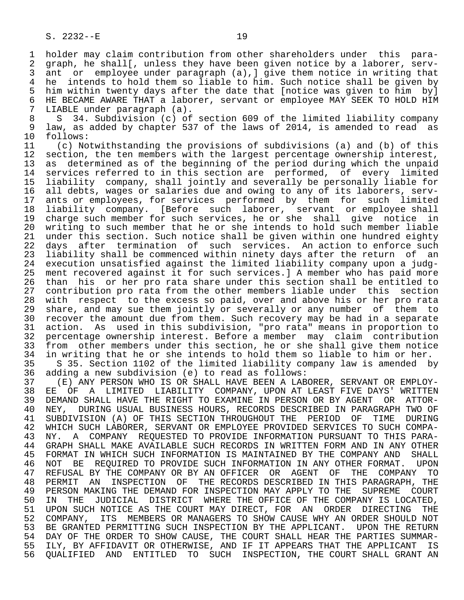1 holder may claim contribution from other shareholders under this para-<br>2 graph, he shall[, unless they have been given notice by a laborer, serv-2 graph, he shall[, unless they have been given notice by a laborer, serv-<br>3 ant or emplovee under paragraph (a), aive them notice in writing that ant or employee under paragraph  $(a)$ ,  $\int$  give them notice in writing that 4 he intends to hold them so liable to him. Such notice shall be given by<br>5 him within twenty days after the date that [notice was given to him by] 5 him within twenty days after the date that [notice was given to him by]<br>6 HE BECAME AWARE THAT a laborer, servant or emplovee MAY SEEK TO HOLD HIM 6 HE BECAME AWARE THAT a laborer, servant or employee MAY SEEK TO HOLD HIM<br>7 LIABLE under paragraph (a). LIABLE under paragraph (a).

8 S 34. Subdivision (c) of section 609 of the limited liability company<br>8 law, as added by chapter 537 of the laws of 2014, is amended to read as 9 law, as added by chapter 537 of the laws of 2014, is amended to read as 10 follows: 10 follows:<br>11 (c) No

11 (c) Notwithstanding the provisions of subdivisions (a) and (b) of this 12 section, the ten members with the largest percentage ownership interest, 12 section, the ten members with the largest percentage ownership interest,<br>13 as determined as of the beginning of the period during which the unpaid 13 as determined as of the beginning of the period during which the unpaid<br>14 services referred to in this section are performed, of every limited services referred to in this section are performed, of every limited 15 liability company, shall jointly and severally be personally liable for 16 all debts, wages or salaries due and owing to any of its laborers, serv-<br>17 ants or emplovees, for services performed by them for such limited 17 ants or employees, for services performed by them for such limited<br>18 liability company. [Before such laborer, servant or employee shall 18 liability company. [Before such laborer, servant oremployee shall<br>19 charge such member for such services, he orshe shall give notice in 19 charge such member for such services, he or she shall give notice in<br>20 writing to such member that he or she intends to hold such member liable 20 writing to such member that he or she intends to hold such member liable<br>21 under this section. Such notice shall be given within one hundred eighty 21 under this section. Such notice shall be given within one hundred eighty<br>22 days after termination of such services. An action to enforce such 22 days after termination of such services. An action to enforce such<br>23 liability shall be commenced within ninety days after the return of an 23 liability shall be commenced within ninety days after the return of an<br>24 execution unsatisfied against the limited liability company upon a judg- 24 execution unsatisfied against the limited liability company upon a judg ment recovered against it for such services.] A member who has paid more 26 than his or her pro rata share under this section shall be entitled to<br>27 contribution pro rata from the other members liable under this section 27 contribution pro rata from the other members liable under this section<br>28 with respect to the excess so paid, over and above his or her pro rata 28 with respect to the excess so paid, over and above his or her pro rata<br>29 share, and may sue them jointly or severally or any number of them to 29 share, and may sue them jointly or severally or any number of them to<br>30 recover the amount due from them. Such recovery may be had in a separate 30 recover the amount due from them. Such recovery may be had in a separate<br>31 action. As used in this subdivision, "pro rata" means in proportion to 31 action. As used in this subdivision, "pro rata" means in proportion to<br>32 percentage ownership interest. Before a member may claim contribution 32 percentage ownership interest. Before a member may claim contribution<br>33 from other members under this section, he or she shall give them notice 33 from other members under this section, he or she shall give them notice<br>34 in writing that he or she intends to hold them so liable to him or her. 34 in writing that he or she intends to hold them so liable to him or her.<br>35 S 35. Section 1102 of the limited liability company law is amended b 35 S 35. Section 1102 of the limited liability company law is amended by<br>36 adding a new subdivision (e) to read as follows:

 36 adding a new subdivision (e) to read as follows: 37 (E) ANY PERSON WHO IS OR SHALL HAVE BEEN A LABORER, SERVANT OR EMPLOY- 38 EE OF A LIMITED LIABILITY COMPANY, UPON AT LEAST FIVE DAYS' WRITTEN<br>39 DEMAND SHALL HAVE THE RIGHT TO EXAMINE IN PERSON OR BY AGENT OR ATTOR-39 DEMAND SHALL HAVE THE RIGHT TO EXAMINE IN PERSON OR BY AGENT OR ATTOR-<br>40 NEY, DURING USUAL BUSINESS HOURS, RECORDS DESCRIBED IN PARAGRAPH TWO OF 40 NEY, DURING USUAL BUSINESS HOURS, RECORDS DESCRIBED IN PARAGRAPH TWO OF<br>41 SUBDIVISION (A) OF THIS SECTION THROUGHOUT THE PERIOD OF TIME DURING 41 SUBDIVISION (A) OF THIS SECTION THROUGHOUT THE PERIOD OF TIME DURING<br>42 WHICH SUCH LABORER, SERVANT OR EMPLOYEE PROVIDED SERVICES TO SUCH COMPA- 42 WHICH SUCH LABORER, SERVANT OR EMPLOYEE PROVIDED SERVICES TO SUCH COMPA- 43 NY. A COMPANY REQUESTED TO PROVIDE INFORMATION PURSUANT TO THIS PARA- 44 GRAPH SHALL MAKE AVAILABLE SUCH RECORDS IN WRITTEN FORM AND IN ANY OTHER<br>45 FORMAT IN WHICH SUCH INFORMATION IS MAINTAINED BY THE COMPANY AND SHALL 45 FORMAT IN WHICH SUCH INFORMATION IS MAINTAINED BY THE COMPANY AND SHALL 46 NOT BE REQUIRED TO PROVIDE SUCH INFORMATION IN ANY OTHER FORMAT. UPON<br>47 REFUSAL BY THE COMPANY OR BY AN OFFICER OR AGENT OF THE COMPANY TO 47 REFUSAL BY THE COMPANY OR BY AN OFFICER OR AGENT OF THE COMPANY TO 48 PERMIT AN INSPECTION OF THE RECORDS DESCRIBED IN THIS PARAGRAPH, THE 49 PERSON MAKING THE DEMAND FOR INSPECTION MAY APPLY TO THE SUPREME COURT<br>50 IN THE JUDICIAL DISTRICT WHERE THE OFFICE OF THE COMPANY IS LOCATED. 50 IN THE JUDICIAL DISTRICT WHERE THE OFFICE OF THE COMPANY IS LOCATED,<br>51 UPON SUCH NOTICE AS THE COURT MAY DIRECT, FOR AN ORDER DIRECTING THE 51 UPON SUCH NOTICE AS THE COURT MAY DIRECT, FOR AN ORDER DIRECTING THE<br>52 COMPANY, ITS MEMBERS OR MANAGERS TO SHOW CAUSE WHY AN ORDER SHOULD NOT 52 COMPANY, ITS MEMBERS OR MANAGERS TO SHOW CAUSE WHY AN ORDER SHOULD NOT<br>53 BE GRANTED PERMITTING SUCH INSPECTION BY THE APPLICANT. UPON THE RETURN 53 BE GRANTED PERMITTING SUCH INSPECTION BY THE APPLICANT. UPON THE RETURN<br>54 DAY OF THE ORDER TO SHOW CAUSE, THE COURT SHALL HEAR THE PARTIES SUMMAR-54 DAY OF THE ORDER TO SHOW CAUSE, THE COURT SHALL HEAR THE PARTIES SUMMAR-<br>55 ILY, BY AFFIDAVIT OR OTHERWISE, AND IF IT APPEARS THAT THE APPLICANT IS 55 ILY, BY AFFIDAVIT OR OTHERWISE, AND IF IT APPEARS THAT THE APPLICANT IS<br>56 OUALIFIED AND ENTITLED TO SUCH INSPECTION, THE COURT SHALL GRANT AN 56 QUALIFIED AND ENTITLED TO SUCH INSPECTION, THE COURT SHALL GRANT AN